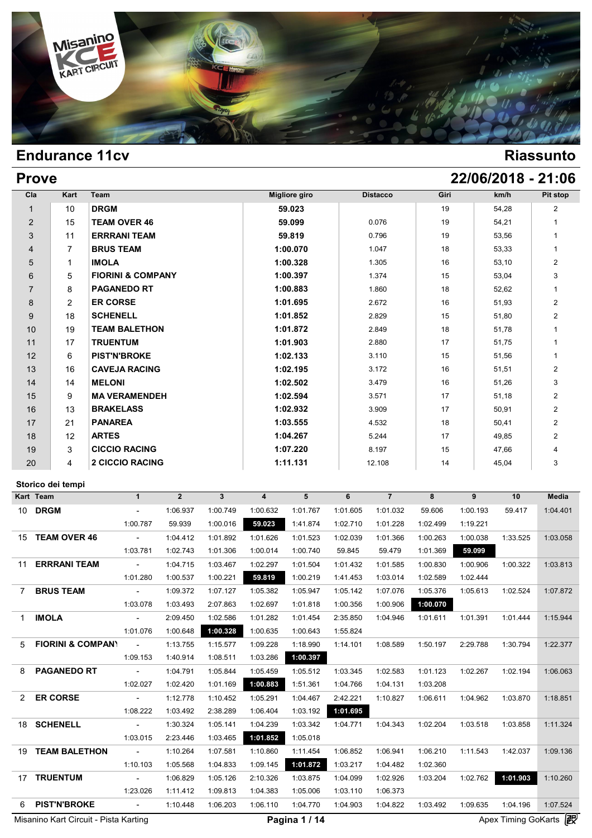

# **Prove 22/06/2018 - 21:06**

| Cla            | Kart           | Team                         | <b>Migliore giro</b> | <b>Distacco</b> | Giri | km/h  | Pit stop       |
|----------------|----------------|------------------------------|----------------------|-----------------|------|-------|----------------|
| 1              | 10             | <b>DRGM</b>                  | 59.023               |                 | 19   | 54,28 | $\overline{2}$ |
| $\overline{2}$ | 15             | <b>TEAM OVER 46</b>          | 59.099               | 0.076           | 19   | 54,21 | 1              |
| 3              | 11             | <b>ERRRANI TEAM</b>          | 59.819               | 0.796           | 19   | 53,56 | 1              |
| $\overline{4}$ | 7              | <b>BRUS TEAM</b>             | 1:00.070             | 1.047           | 18   | 53,33 | 1              |
| 5              | 1              | <b>IMOLA</b>                 | 1:00.328             | 1.305           | 16   | 53,10 | $\overline{2}$ |
| 6              | 5              | <b>FIORINI &amp; COMPANY</b> | 1:00.397             | 1.374           | 15   | 53,04 | 3              |
| $\overline{7}$ | 8              | <b>PAGANEDO RT</b>           | 1:00.883             | 1.860           | 18   | 52,62 | 1              |
| 8              | $\overline{2}$ | <b>ER CORSE</b>              | 1:01.695             | 2.672           | 16   | 51,93 | $\overline{2}$ |
| 9              | 18             | <b>SCHENELL</b>              | 1:01.852             | 2.829           | 15   | 51,80 | $\overline{2}$ |
| 10             | 19             | <b>TEAM BALETHON</b>         | 1:01.872             | 2.849           | 18   | 51,78 | 1              |
| 11             | 17             | <b>TRUENTUM</b>              | 1:01.903             | 2.880           | 17   | 51,75 | 1              |
| 12             | 6              | <b>PIST'N'BROKE</b>          | 1:02.133             | 3.110           | 15   | 51,56 | 1              |
| 13             | 16             | <b>CAVEJA RACING</b>         | 1:02.195             | 3.172           | 16   | 51,51 | $\overline{2}$ |
| 14             | 14             | <b>MELONI</b>                | 1:02.502             | 3.479           | 16   | 51,26 | 3              |
| 15             | 9              | <b>MA VERAMENDEH</b>         | 1:02.594             | 3.571           | 17   | 51,18 | $\overline{2}$ |
| 16             | 13             | <b>BRAKELASS</b>             | 1:02.932             | 3.909           | 17   | 50,91 | $\overline{2}$ |
| 17             | 21             | <b>PANAREA</b>               | 1:03.555             | 4.532           | 18   | 50,41 | $\overline{2}$ |
| 18             | 12             | <b>ARTES</b>                 | 1:04.267             | 5.244           | 17   | 49,85 | $\overline{2}$ |
| 19             | 3              | <b>CICCIO RACING</b>         | 1:07.220             | 8.197           | 15   | 47,66 | 4              |
| 20             | 4              | <b>2 CICCIO RACING</b>       | 1:11.131             | 12.108          | 14   | 45,04 | 3              |

### **Storico dei tempi**

|                | Storico dei tempi            |                          |                |              |                |          |          |                |          |          |          |              |
|----------------|------------------------------|--------------------------|----------------|--------------|----------------|----------|----------|----------------|----------|----------|----------|--------------|
|                | Kart Team                    | $\mathbf{1}$             | $\overline{2}$ | $\mathbf{3}$ | $\overline{4}$ | 5        | 6        | $\overline{7}$ | 8        | 9        | 10       | <b>Media</b> |
|                | 10 DRGM                      | $ \,$                    | 1:06.937       | 1:00.749     | 1:00.632       | 1:01.767 | 1:01.605 | 1:01.032       | 59.606   | 1:00.193 | 59.417   | 1:04.401     |
|                |                              | 1:00.787                 | 59.939         | 1:00.016     | 59.023         | 1:41.874 | 1:02.710 | 1:01.228       | 1:02.499 | 1:19.221 |          |              |
| 15             | <b>TEAM OVER 46</b>          | $\overline{\phantom{a}}$ | 1:04.412       | 1:01.892     | 1:01.626       | 1:01.523 | 1:02.039 | 1:01.366       | 1:00.263 | 1:00.038 | 1:33.525 | 1:03.058     |
|                |                              | 1:03.781                 | 1:02.743       | 1:01.306     | 1:00.014       | 1:00.740 | 59.845   | 59.479         | 1:01.369 | 59.099   |          |              |
| 11             | <b>ERRRANI TEAM</b>          | $\sim$                   | 1:04.715       | 1:03.467     | 1:02.297       | 1:01.504 | 1:01.432 | 1:01.585       | 1:00.830 | 1:00.906 | 1:00.322 | 1:03.813     |
|                |                              | 1:01.280                 | 1:00.537       | 1:00.221     | 59.819         | 1:00.219 | 1:41.453 | 1:03.014       | 1:02.589 | 1:02.444 |          |              |
| $\overline{7}$ | <b>BRUS TEAM</b>             | $\omega$                 | 1:09.372       | 1:07.127     | 1:05.382       | 1:05.947 | 1:05.142 | 1:07.076       | 1:05.376 | 1:05.613 | 1:02.524 | 1:07.872     |
|                |                              | 1:03.078                 | 1:03.493       | 2:07.863     | 1:02.697       | 1:01.818 | 1:00.356 | 1:00.906       | 1:00.070 |          |          |              |
| 1              | <b>IMOLA</b>                 | $\sim$                   | 2:09.450       | 1:02.586     | 1:01.282       | 1:01.454 | 2:35.850 | 1:04.946       | 1:01.611 | 1:01.391 | 1:01.444 | 1:15.944     |
|                |                              | 1:01.076                 | 1:00.648       | 1:00.328     | 1:00.635       | 1:00.643 | 1:55.824 |                |          |          |          |              |
| 5              | <b>FIORINI &amp; COMPANY</b> | $\sim$                   | 1:13.755       | 1:15.577     | 1:09.228       | 1:18.990 | 1:14.101 | 1:08.589       | 1:50.197 | 2:29.788 | 1:30.794 | 1:22.377     |
|                |                              | 1:09.153                 | 1:40.914       | 1:08.511     | 1:03.286       | 1:00.397 |          |                |          |          |          |              |
| 8              | <b>PAGANEDO RT</b>           | $\sim$                   | 1:04.791       | 1:05.844     | 1:05.459       | 1:05.512 | 1:03.345 | 1:02.583       | 1:01.123 | 1:02.267 | 1:02.194 | 1:06.063     |
|                |                              | 1:02.027                 | 1:02.420       | 1:01.169     | 1:00.883       | 1:51.361 | 1:04.766 | 1:04.131       | 1:03.208 |          |          |              |
| 2              | <b>ER CORSE</b>              | $\sim$                   | 1:12.778       | 1:10.452     | 1:05.291       | 1:04.467 | 2:42.221 | 1:10.827       | 1:06.611 | 1:04.962 | 1:03.870 | 1:18.851     |
|                |                              | 1:08.222                 | 1:03.492       | 2:38.289     | 1:06.404       | 1:03.192 | 1:01.695 |                |          |          |          |              |
| 18             | <b>SCHENELL</b>              | $\sim$                   | 1:30.324       | 1:05.141     | 1:04.239       | 1:03.342 | 1:04.771 | 1:04.343       | 1:02.204 | 1:03.518 | 1:03.858 | 1:11.324     |
|                |                              | 1:03.015                 | 2:23.446       | 1:03.465     | 1:01.852       | 1:05.018 |          |                |          |          |          |              |
| 19             | <b>TEAM BALETHON</b>         | $\sim$                   | 1:10.264       | 1:07.581     | 1:10.860       | 1:11.454 | 1:06.852 | 1:06.941       | 1:06.210 | 1:11.543 | 1:42.037 | 1:09.136     |
|                |                              | 1:10.103                 | 1:05.568       | 1:04.833     | 1:09.145       | 1:01.872 | 1:03.217 | 1:04.482       | 1:02.360 |          |          |              |
| 17             | <b>TRUENTUM</b>              | $\overline{\phantom{a}}$ | 1:06.829       | 1:05.126     | 2:10.326       | 1:03.875 | 1:04.099 | 1:02.926       | 1:03.204 | 1:02.762 | 1:01.903 | 1:10.260     |
|                |                              | 1:23.026                 | 1:11.412       | 1:09.813     | 1:04.383       | 1:05.006 | 1:03.110 | 1:06.373       |          |          |          |              |
| 6              | <b>PIST'N'BROKE</b>          | $\overline{a}$           | 1:10.448       | 1:06.203     | 1:06.110       | 1:04.770 | 1:04.903 | 1:04.822       | 1:03.492 | 1:09.635 | 1:04.196 | 1:07.524     |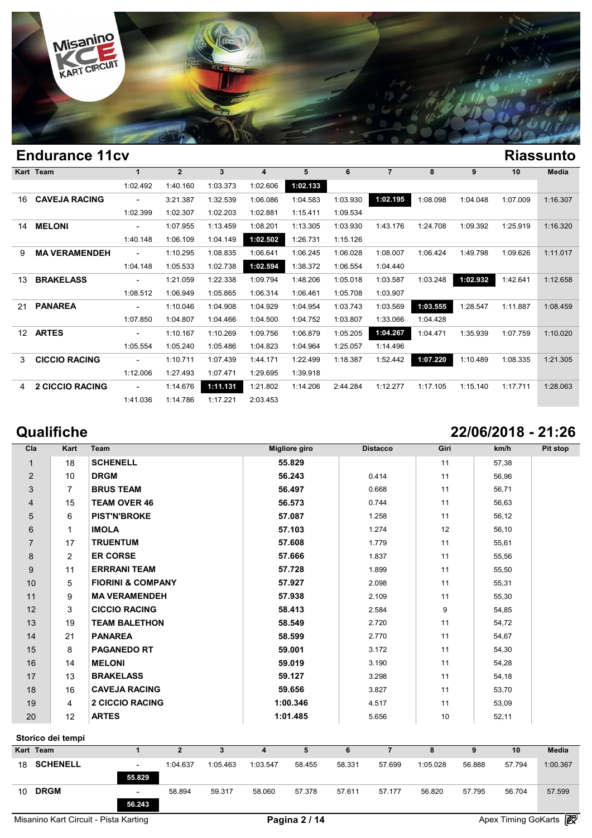

| <b>Endurance 11cv</b><br><b>Riassunto</b><br>Kart Team |                                                                                                                                                                       |                |              |          |          |          |                |          |          |          |              |  |  |
|--------------------------------------------------------|-----------------------------------------------------------------------------------------------------------------------------------------------------------------------|----------------|--------------|----------|----------|----------|----------------|----------|----------|----------|--------------|--|--|
|                                                        | $\mathbf 1$                                                                                                                                                           | $\overline{2}$ | $\mathbf{3}$ | 4        | 5        | 6        | $\overline{7}$ | 8        | 9        | 10       | <b>Media</b> |  |  |
|                                                        | 1:02.492                                                                                                                                                              | 1:40.160       | 1:03.373     | 1:02.606 | 1:02.133 |          |                |          |          |          |              |  |  |
|                                                        |                                                                                                                                                                       | 3:21.387       | 1:32.539     | 1:06.086 | 1:04.583 | 1:03.930 | 1:02.195       | 1:08.098 | 1:04.048 | 1:07.009 | 1:16.307     |  |  |
|                                                        | 1:02.399                                                                                                                                                              | 1:02.307       | 1:02.203     | 1:02.881 | 1:15.411 | 1:09.534 |                |          |          |          |              |  |  |
|                                                        | $\overline{\phantom{0}}$                                                                                                                                              | 1:07.955       | 1:13.459     | 1:08.201 | 1:13.305 | 1:03.930 | 1:43.176       | 1:24.708 | 1:09.392 | 1:25.919 | 1:16.320     |  |  |
|                                                        | 1:40.148                                                                                                                                                              | 1:06.109       | 1:04.149     | 1:02.502 | 1:26.731 | 1:15.126 |                |          |          |          |              |  |  |
|                                                        | $\overline{\phantom{0}}$                                                                                                                                              | 1:10.295       | 1:08.835     | 1:06.641 | 1:06.245 | 1:06.028 | 1:08.007       | 1:06.424 | 1:49.798 | 1:09.626 | 1:11.017     |  |  |
|                                                        | 1:04.148                                                                                                                                                              | 1:05.533       | 1:02.738     | 1:02.594 | 1:38.372 | 1:06.554 | 1:04.440       |          |          |          |              |  |  |
|                                                        | $\overline{\phantom{0}}$                                                                                                                                              | 1:21.059       | 1:22.338     | 1:09.794 | 1:48.206 | 1:05.018 | 1:03.587       | 1:03.248 | 1:02.932 | 1:42.641 | 1:12.658     |  |  |
|                                                        | 1:08.512                                                                                                                                                              | 1:06.949       | 1:05.865     | 1:06.314 | 1:06.461 | 1:05.708 | 1:03.907       |          |          |          |              |  |  |
|                                                        | $\overline{\phantom{0}}$                                                                                                                                              | 1:10.046       | 1:04.908     | 1:04.929 | 1:04.954 | 1:03.743 | 1:03.569       | 1:03.555 | 1:28.547 | 1:11.887 | 1:08.459     |  |  |
|                                                        | 1:07.850                                                                                                                                                              | 1:04.807       | 1:04.466     | 1:04.500 | 1:04.752 | 1:03.807 | 1:33.066       | 1:04.428 |          |          |              |  |  |
|                                                        | $\overline{a}$                                                                                                                                                        | 1:10.167       | 1:10.269     | 1:09.756 | 1:06.879 | 1:05.205 | 1:04.267       | 1:04.471 | 1:35.939 | 1:07.759 | 1:10.020     |  |  |
|                                                        | 1:05.554                                                                                                                                                              | 1:05.240       | 1:05.486     | 1:04.823 | 1:04.964 | 1:25.057 | 1:14.496       |          |          |          |              |  |  |
|                                                        | $\overline{\phantom{0}}$                                                                                                                                              | 1:10.711       | 1:07.439     | 1:44.171 | 1:22.499 | 1:18.387 | 1:52.442       | 1:07.220 | 1:10.489 | 1:08.335 | 1:21.305     |  |  |
|                                                        | 1:12.006                                                                                                                                                              | 1:27.493       | 1:07.471     | 1:29.695 | 1:39.918 |          |                |          |          |          |              |  |  |
|                                                        | $\overline{\phantom{a}}$                                                                                                                                              | 1:14.676       | 1:11.131     | 1:21.802 | 1:14.206 | 2:44.284 | 1:12.277       | 1:17.105 | 1:15.140 | 1:17.711 | 1:28.063     |  |  |
|                                                        | 1:41.036                                                                                                                                                              | 1:14.786       | 1:17.221     | 2:03.453 |          |          |                |          |          |          |              |  |  |
|                                                        | <b>CAVEJA RACING</b><br><b>MELONI</b><br><b>MA VERAMENDEH</b><br><b>BRAKELASS</b><br><b>PANAREA</b><br><b>ARTES</b><br><b>CICCIO RACING</b><br><b>2 CICCIO RACING</b> |                |              |          |          |          |                |          |          |          |              |  |  |

# **Qualifiche 22/06/2018 - 21:26**

| Cla            | Kart            | Team                         | <b>Migliore giro</b> | <b>Distacco</b> | Giri | km/h  | Pit stop |
|----------------|-----------------|------------------------------|----------------------|-----------------|------|-------|----------|
| 1              | 18              | <b>SCHENELL</b>              | 55.829               |                 | 11   | 57,38 |          |
| $\overline{2}$ | 10 <sup>1</sup> | <b>DRGM</b>                  | 56.243               | 0.414           | 11   | 56,96 |          |
| 3              | $\overline{7}$  | <b>BRUS TEAM</b>             | 56.497               | 0.668           | 11   | 56,71 |          |
| 4              | 15              | <b>TEAM OVER 46</b>          | 56.573               | 0.744           | 11   | 56,63 |          |
| 5              | 6               | <b>PIST'N'BROKE</b>          | 57.087               | 1.258           | 11   | 56,12 |          |
| 6              | 1               | <b>IMOLA</b>                 | 57.103               | 1.274           | 12   | 56,10 |          |
| $\overline{7}$ | 17              | <b>TRUENTUM</b>              | 57.608               | 1.779           | 11   | 55,61 |          |
| 8              | $\overline{2}$  | <b>ER CORSE</b>              | 57.666               | 1.837           | 11   | 55,56 |          |
| 9              | 11              | <b>ERRRANI TEAM</b>          | 57.728               | 1.899           | 11   | 55,50 |          |
| 10             | 5               | <b>FIORINI &amp; COMPANY</b> | 57.927               | 2.098           | 11   | 55,31 |          |
| 11             | 9               | <b>MA VERAMENDEH</b>         | 57.938               | 2.109           | 11   | 55,30 |          |
| 12             | 3               | <b>CICCIO RACING</b>         | 58.413               | 2.584           | 9    | 54,85 |          |
| 13             | 19              | <b>TEAM BALETHON</b>         | 58.549               | 2.720           | 11   | 54,72 |          |
| 14             | 21              | <b>PANAREA</b>               | 58.599               | 2.770           | 11   | 54,67 |          |
| 15             | 8               | <b>PAGANEDO RT</b>           | 59.001               | 3.172           | 11   | 54,30 |          |
| 16             | 14              | <b>MELONI</b>                | 59.019               | 3.190           | 11   | 54,28 |          |
| 17             | 13              | <b>BRAKELASS</b>             | 59.127               | 3.298           | 11   | 54,18 |          |
| 18             | 16              | <b>CAVEJA RACING</b>         | 59.656               | 3.827           | 11   | 53,70 |          |
| 19             | 4               | <b>2 CICCIO RACING</b>       | 1:00.346             | 4.517           | 11   | 53,09 |          |
| 20             | 12              | <b>ARTES</b>                 | 1:01.485             | 5.656           | 10   | 52,11 |          |

### **Storico dei tempi**

|    | Storico dei tempi |                          |          |          |          |        |        |        |          |        |        |              |
|----|-------------------|--------------------------|----------|----------|----------|--------|--------|--------|----------|--------|--------|--------------|
|    | Kart Team         |                          |          | 3        | 4        | 5      | 6      |        |          | 9      | 10     | <b>Media</b> |
| 18 | <b>SCHENELL</b>   | $\overline{\phantom{0}}$ | 1:04.637 | 1:05.463 | 1:03.547 | 58.455 | 58.331 | 57.699 | 1:05.028 | 56.888 | 57.794 | 1:00.367     |
|    |                   | 55.829                   |          |          |          |        |        |        |          |        |        |              |
| 10 | <b>DRGM</b>       | $\overline{\phantom{0}}$ | 58.894   | 59.317   | 58.060   | 57.378 | 57.611 | 57.177 | 56.820   | 57.795 | 56.704 | 57.599       |
|    |                   | 56.243                   |          |          |          |        |        |        |          |        |        |              |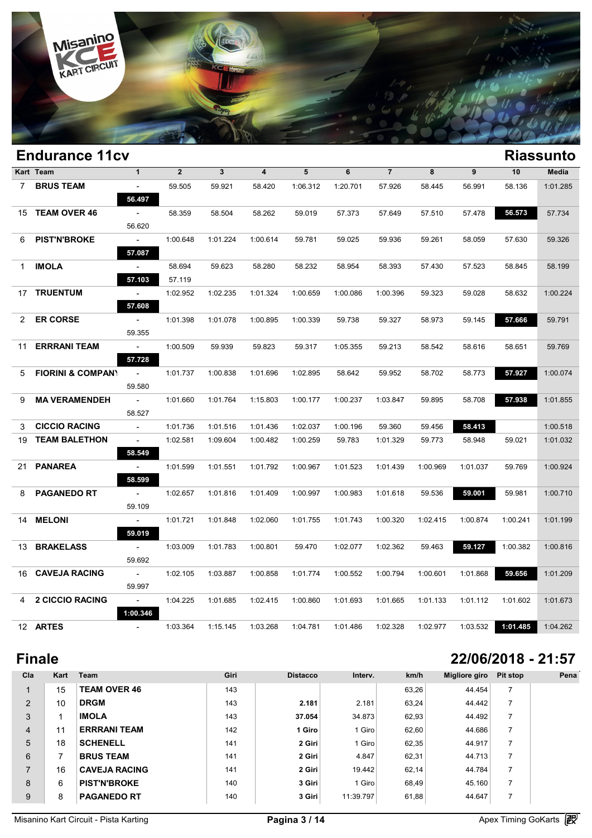

|                | <b>Endurance 11cv</b>        |                                       |                  |              |                |          |          |                |          |          |          | <b>Riassunto</b> |
|----------------|------------------------------|---------------------------------------|------------------|--------------|----------------|----------|----------|----------------|----------|----------|----------|------------------|
|                | Kart Team                    | $\mathbf{1}$                          | $\overline{2}$   | $\mathbf{3}$ | $\overline{4}$ | 5        | 6        | $\overline{7}$ | 8        | 9        | 10       | Media            |
| $7\phantom{0}$ | <b>BRUS TEAM</b>             | $\overline{\phantom{a}}$<br>56.497    | 59.505           | 59.921       | 58.420         | 1:06.312 | 1:20.701 | 57.926         | 58.445   | 56.991   | 58.136   | 1:01.285         |
| 15             | <b>TEAM OVER 46</b>          | $\overline{\phantom{a}}$<br>56.620    | 58.359           | 58.504       | 58.262         | 59.019   | 57.373   | 57.649         | 57.510   | 57.478   | 56.573   | 57.734           |
| 6              | <b>PIST'N'BROKE</b>          | $\sim$<br>57.087                      | 1:00.648         | 1:01.224     | 1:00.614       | 59.781   | 59.025   | 59.936         | 59.261   | 58.059   | 57.630   | 59.326           |
| 1              | <b>IMOLA</b>                 | $\overline{\phantom{a}}$<br>57.103    | 58.694<br>57.119 | 59.623       | 58.280         | 58.232   | 58.954   | 58.393         | 57.430   | 57.523   | 58.845   | 58.199           |
|                | 17 TRUENTUM                  | $\overline{\phantom{a}}$<br>57.608    | 1:02.952         | 1:02.235     | 1:01.324       | 1:00.659 | 1:00.086 | 1:00.396       | 59.323   | 59.028   | 58.632   | 1:00.224         |
| $\mathbf{2}$   | <b>ER CORSE</b>              | $\overline{\phantom{a}}$<br>59.355    | 1:01.398         | 1:01.078     | 1:00.895       | 1:00.339 | 59.738   | 59.327         | 58.973   | 59.145   | 57.666   | 59.791           |
| 11             | <b>ERRRANI TEAM</b>          | $\sim$<br>57.728                      | 1:00.509         | 59.939       | 59.823         | 59.317   | 1:05.355 | 59.213         | 58.542   | 58.616   | 58.651   | 59.769           |
| 5              | <b>FIORINI &amp; COMPANY</b> | $\omega$<br>59.580                    | 1:01.737         | 1:00.838     | 1:01.696       | 1:02.895 | 58.642   | 59.952         | 58.702   | 58.773   | 57.927   | 1:00.074         |
| 9              | <b>MA VERAMENDEH</b>         | $\overline{\phantom{a}}$<br>58.527    | 1:01.660         | 1:01.764     | 1:15.803       | 1:00.177 | 1:00.237 | 1:03.847       | 59.895   | 58.708   | 57.938   | 1:01.855         |
| 3              | <b>CICCIO RACING</b>         | $\blacksquare$                        | 1:01.736         | 1:01.516     | 1:01.436       | 1:02.037 | 1:00.196 | 59.360         | 59.456   | 58.413   |          | 1:00.518         |
| 19             | <b>TEAM BALETHON</b>         | $\mathcal{L}_{\mathcal{A}}$<br>58.549 | 1:02.581         | 1:09.604     | 1:00.482       | 1:00.259 | 59.783   | 1:01.329       | 59.773   | 58.948   | 59.021   | 1:01.032         |
| 21             | <b>PANAREA</b>               | $\blacksquare$<br>58.599              | 1:01.599         | 1:01.551     | 1:01.792       | 1:00.967 | 1:01.523 | 1:01.439       | 1:00.969 | 1:01.037 | 59.769   | 1:00.924         |
| 8              | <b>PAGANEDO RT</b>           | $\overline{\phantom{a}}$<br>59.109    | 1:02.657         | 1:01.816     | 1:01.409       | 1:00.997 | 1:00.983 | 1:01.618       | 59.536   | 59.001   | 59.981   | 1:00.710         |
| 14             | <b>MELONI</b>                | $\sim$<br>59.019                      | 1:01.721         | 1:01.848     | 1:02.060       | 1:01.755 | 1:01.743 | 1:00.320       | 1:02.415 | 1:00.874 | 1:00.241 | 1:01.199         |
|                | 13 BRAKELASS                 | $\blacksquare$<br>59.692              | 1:03.009         | 1:01.783     | 1:00.801       | 59.470   | 1:02.077 | 1:02.362       | 59.463   | 59.127   | 1:00.382 | 1:00.816         |
|                | 16 CAVEJA RACING             | $\blacksquare$<br>59.997              | 1:02.105         | 1:03.887     | 1:00.858       | 1:01.774 | 1:00.552 | 1:00.794       | 1:00.601 | 1:01.868 | 59.656   | 1:01.209         |
| 4              | <b>2 CICCIO RACING</b>       | $\sim$<br>1:00.346                    | 1:04.225         | 1:01.685     | 1:02.415       | 1:00.860 | 1:01.693 | 1:01.665       | 1:01.133 | 1:01.112 | 1:01.602 | 1:01.673         |
|                | 12 ARTES                     | $\overline{\phantom{a}}$              | 1:03.364         | 1:15.145     | 1:03.268       | 1:04.781 | 1:01.486 | 1:02.328       | 1:02.977 | 1:03.532 | 1:01.485 | 1:04.262         |

# **Finale 22/06/2018 - 21:57**

| Cla            | Kart | Team                 | Giri | <b>Distacco</b> | Interv.   | km/h  | Migliore giro | Pit stop | Pena |
|----------------|------|----------------------|------|-----------------|-----------|-------|---------------|----------|------|
|                | 15   | <b>TEAM OVER 46</b>  | 143  |                 |           | 63,26 | 44.454        |          |      |
| $\overline{2}$ | 10   | <b>DRGM</b>          | 143  | 2.181           | 2.181     | 63,24 | 44.442        |          |      |
| 3              |      | <b>IMOLA</b>         | 143  | 37.054          | 34.873    | 62,93 | 44.492        |          |      |
| $\overline{4}$ | 11   | <b>ERRRANI TEAM</b>  | 142  | 1 Giro          | 1 Giro    | 62,60 | 44.686        |          |      |
| 5              | 18   | <b>SCHENELL</b>      | 141  | 2 Giri          | 1 Giro    | 62,35 | 44.917        |          |      |
| 6              | 7    | <b>BRUS TEAM</b>     | 141  | 2 Giri          | 4.847     | 62,31 | 44.713        |          |      |
| $\overline{ }$ | 16   | <b>CAVEJA RACING</b> | 141  | 2 Giri          | 19.442    | 62,14 | 44.784        |          |      |
| 8              | 6    | <b>PIST'N'BROKE</b>  | 140  | 3 Giri          | 1 Giro    | 68,49 | 45.160        |          |      |
| 9              | 8    | <b>PAGANEDO RT</b>   | 140  | 3 Giri          | 11:39.797 | 61,88 | 44.647        |          |      |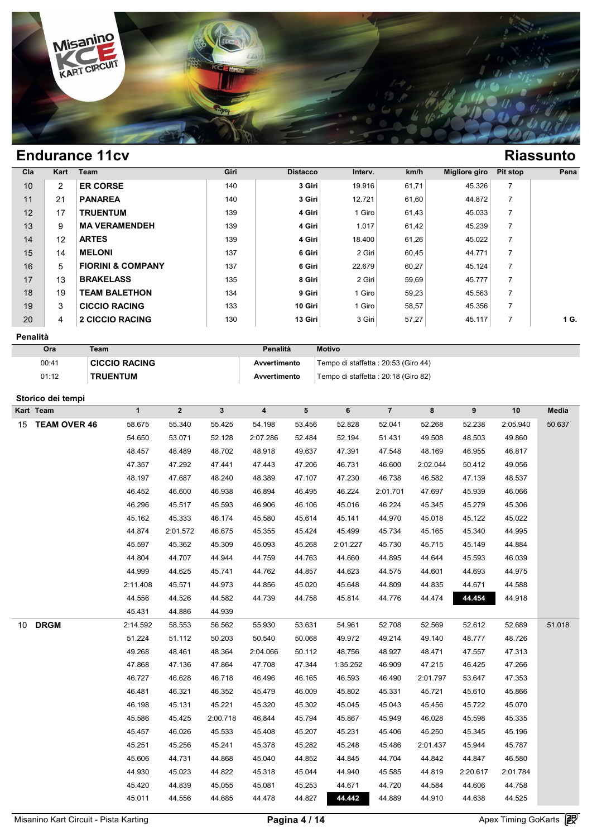

| C <sub>1a</sub> | Kart           | Team                         | Giri | <b>Distacco</b> | Interv. | km/h  | <b>Migliore giro</b> | <b>Pit stop</b> | Pena |
|-----------------|----------------|------------------------------|------|-----------------|---------|-------|----------------------|-----------------|------|
| 10              | $\overline{2}$ | <b>ER CORSE</b>              | 140  | 3 Giri          | 19.916  | 61,71 | 45.326               | $\overline{7}$  |      |
| 11              | 21             | <b>PANAREA</b>               | 140  | 3 Giri          | 12.721  | 61,60 | 44.872               | $\overline{7}$  |      |
| 12              | 17             | <b>TRUENTUM</b>              | 139  | 4 Giri          | 1 Giro  | 61,43 | 45.033               | $\overline{7}$  |      |
| 13              | 9              | <b>MA VERAMENDEH</b>         | 139  | 4 Giri          | 1.017   | 61,42 | 45.239               | $\overline{7}$  |      |
| 14              | 12             | <b>ARTES</b>                 | 139  | 4 Giri          | 18.400  | 61,26 | 45.022               | $\overline{7}$  |      |
| 15              | 14             | <b>MELONI</b>                | 137  | 6 Giri          | 2 Giri  | 60,45 | 44.771               |                 |      |
| 16              | 5              | <b>FIORINI &amp; COMPANY</b> | 137  | 6 Giri          | 22.679  | 60,27 | 45.124               | $\overline{7}$  |      |
| 17              | 13             | <b>BRAKELASS</b>             | 135  | 8 Giri          | 2 Giri  | 59,69 | 45.777               |                 |      |
| 18              | 19             | <b>TEAM BALETHON</b>         | 134  | 9 Giri          | 1 Giro  | 59,23 | 45.563               | $\overline{7}$  |      |
| 19              | 3              | <b>CICCIO RACING</b>         | 133  | 10 Giri         | 1 Giro  | 58,57 | 45.356               | $\overline{7}$  |      |
| 20              | 4              | <b>2 CICCIO RACING</b>       | 130  | 13 Giri         | 3 Giri  | 57,27 | 45.117               |                 | 1 G. |

### **Penalità**

| Ora   | Team                 | Penalità     | <b>Motivo</b>                        |
|-------|----------------------|--------------|--------------------------------------|
| 00:41 | <b>CICCIO RACING</b> | Avvertimento | Tempo di staffetta: 20:53 (Giro 44)  |
| 01:12 | <b>TRUENTUM</b>      | Avvertimento | Tempo di staffetta : 20:18 (Giro 82) |

### **Storico dei tempi**

| Kart Team                 | $\mathbf{1}$ | $\overline{2}$ | $\mathbf{3}$ | $\overline{\mathbf{4}}$ | 5      | 6        | $\overline{\mathbf{7}}$ | 8        | $\pmb{9}$ | 10       | Media  |
|---------------------------|--------------|----------------|--------------|-------------------------|--------|----------|-------------------------|----------|-----------|----------|--------|
| <b>TEAM OVER 46</b><br>15 | 58.675       | 55.340         | 55.425       | 54.198                  | 53.456 | 52.828   | 52.041                  | 52.268   | 52.238    | 2:05.940 | 50.637 |
|                           | 54.650       | 53.071         | 52.128       | 2:07.286                | 52.484 | 52.194   | 51.431                  | 49.508   | 48.503    | 49.860   |        |
|                           | 48.457       | 48.489         | 48.702       | 48.918                  | 49.637 | 47.391   | 47.548                  | 48.169   | 46.955    | 46.817   |        |
|                           | 47.357       | 47.292         | 47.441       | 47.443                  | 47.206 | 46.731   | 46.600                  | 2:02.044 | 50.412    | 49.056   |        |
|                           | 48.197       | 47.687         | 48.240       | 48.389                  | 47.107 | 47.230   | 46.738                  | 46.582   | 47.139    | 48.537   |        |
|                           | 46.452       | 46.600         | 46.938       | 46.894                  | 46.495 | 46.224   | 2:01.701                | 47.697   | 45.939    | 46.066   |        |
|                           | 46.296       | 45.517         | 45.593       | 46.906                  | 46.106 | 45.016   | 46.224                  | 45.345   | 45.279    | 45.306   |        |
|                           | 45.162       | 45.333         | 46.174       | 45.580                  | 45.614 | 45.141   | 44.970                  | 45.018   | 45.122    | 45.022   |        |
|                           | 44.874       | 2:01.572       | 46.675       | 45.355                  | 45.424 | 45.499   | 45.734                  | 45.165   | 45.340    | 44.995   |        |
|                           | 45.597       | 45.362         | 45.309       | 45.093                  | 45.268 | 2:01.227 | 45.730                  | 45.715   | 45.149    | 44.884   |        |
|                           | 44.804       | 44.707         | 44.944       | 44.759                  | 44.763 | 44.660   | 44.895                  | 44.644   | 45.593    | 46.039   |        |
|                           | 44.999       | 44.625         | 45.741       | 44.762                  | 44.857 | 44.623   | 44.575                  | 44.601   | 44.693    | 44.975   |        |
|                           | 2:11.408     | 45.571         | 44.973       | 44.856                  | 45.020 | 45.648   | 44.809                  | 44.835   | 44.671    | 44.588   |        |
|                           | 44.556       | 44.526         | 44.582       | 44.739                  | 44.758 | 45.814   | 44.776                  | 44.474   | 44.454    | 44.918   |        |
|                           | 45.431       | 44.886         | 44.939       |                         |        |          |                         |          |           |          |        |
| <b>DRGM</b><br>10         | 2:14.592     | 58.553         | 56.562       | 55.930                  | 53.631 | 54.961   | 52.708                  | 52.569   | 52.612    | 52.689   | 51.018 |
|                           | 51.224       | 51.112         | 50.203       | 50.540                  | 50.068 | 49.972   | 49.214                  | 49.140   | 48.777    | 48.726   |        |
|                           | 49.268       | 48.461         | 48.364       | 2:04.066                | 50.112 | 48.756   | 48.927                  | 48.471   | 47.557    | 47.313   |        |
|                           | 47.868       | 47.136         | 47.864       | 47.708                  | 47.344 | 1:35.252 | 46.909                  | 47.215   | 46.425    | 47.266   |        |
|                           | 46.727       | 46.628         | 46.718       | 46.496                  | 46.165 | 46.593   | 46.490                  | 2:01.797 | 53.647    | 47.353   |        |
|                           | 46.481       | 46.321         | 46.352       | 45.479                  | 46.009 | 45.802   | 45.331                  | 45.721   | 45.610    | 45.866   |        |
|                           | 46.198       | 45.131         | 45.221       | 45.320                  | 45.302 | 45.045   | 45.043                  | 45.456   | 45.722    | 45.070   |        |
|                           | 45.586       | 45.425         | 2:00.718     | 46.844                  | 45.794 | 45.867   | 45.949                  | 46.028   | 45.598    | 45.335   |        |
|                           | 45.457       | 46.026         | 45.533       | 45.408                  | 45.207 | 45.231   | 45.406                  | 45.250   | 45.345    | 45.196   |        |
|                           | 45.251       | 45.256         | 45.241       | 45.378                  | 45.282 | 45.248   | 45.486                  | 2:01.437 | 45.944    | 45.787   |        |
|                           | 45.606       | 44.731         | 44.868       | 45.040                  | 44.852 | 44.845   | 44.704                  | 44.842   | 44.847    | 46.580   |        |
|                           | 44.930       | 45.023         | 44.822       | 45.318                  | 45.044 | 44.940   | 45.585                  | 44.819   | 2:20.617  | 2:01.784 |        |
|                           | 45.420       | 44.839         | 45.055       | 45.081                  | 45.253 | 44.671   | 44.720                  | 44.584   | 44.606    | 44.758   |        |
|                           | 45.011       | 44.556         | 44.685       | 44.478                  | 44.827 | 44.442   | 44.889                  | 44.910   | 44.638    | 44.525   |        |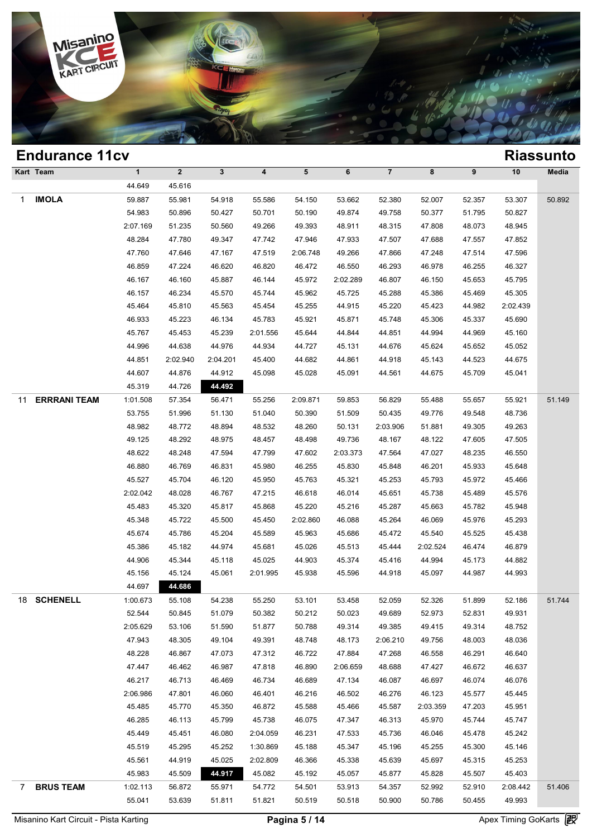

|                | <b>Endurance 11cv</b> |              |              |              |          |                 |          |                |          |        |          | <b>Riassunto</b> |
|----------------|-----------------------|--------------|--------------|--------------|----------|-----------------|----------|----------------|----------|--------|----------|------------------|
|                | Kart Team             | $\mathbf{1}$ | $\mathbf{2}$ | $\mathbf{3}$ | 4        | $5\phantom{.0}$ | 6        | $\overline{7}$ | 8        | 9      | 10       | Media            |
|                |                       | 44.649       | 45.616       |              |          |                 |          |                |          |        |          |                  |
| 1              | <b>IMOLA</b>          | 59.887       | 55.981       | 54.918       | 55.586   | 54.150          | 53.662   | 52.380         | 52.007   | 52.357 | 53.307   | 50.892           |
|                |                       | 54.983       | 50.896       | 50.427       | 50.701   | 50.190          | 49.874   | 49.758         | 50.377   | 51.795 | 50.827   |                  |
|                |                       | 2:07.169     | 51.235       | 50.560       | 49.266   | 49.393          | 48.911   | 48.315         | 47.808   | 48.073 | 48.945   |                  |
|                |                       | 48.284       | 47.780       | 49.347       | 47.742   | 47.946          | 47.933   | 47.507         | 47.688   | 47.557 | 47.852   |                  |
|                |                       | 47.760       | 47.646       | 47.167       | 47.519   | 2:06.748        | 49.266   | 47.866         | 47.248   | 47.514 | 47.596   |                  |
|                |                       | 46.859       | 47.224       | 46.620       | 46.820   | 46.472          | 46.550   | 46.293         | 46.978   | 46.255 | 46.327   |                  |
|                |                       | 46.167       | 46.160       | 45.887       | 46.144   | 45.972          | 2:02.289 | 46.807         | 46.150   | 45.653 | 45.795   |                  |
|                |                       | 46.157       | 46.234       | 45.570       | 45.744   | 45.962          | 45.725   | 45.288         | 45.386   | 45.469 | 45.305   |                  |
|                |                       | 45.464       | 45.810       | 45.563       | 45.454   | 45.255          | 44.915   | 45.220         | 45.423   | 44.982 | 2:02.439 |                  |
|                |                       | 46.933       | 45.223       | 46.134       | 45.783   | 45.921          | 45.871   | 45.748         | 45.306   | 45.337 | 45.690   |                  |
|                |                       | 45.767       | 45.453       | 45.239       | 2:01.556 | 45.644          | 44.844   | 44.851         | 44.994   | 44.969 | 45.160   |                  |
|                |                       | 44.996       | 44.638       | 44.976       | 44.934   | 44.727          | 45.131   | 44.676         | 45.624   | 45.652 | 45.052   |                  |
|                |                       | 44.851       | 2:02.940     | 2:04.201     | 45.400   | 44.682          | 44.861   | 44.918         | 45.143   | 44.523 | 44.675   |                  |
|                |                       | 44.607       | 44.876       | 44.912       | 45.098   | 45.028          | 45.091   | 44.561         | 44.675   | 45.709 | 45.041   |                  |
|                |                       | 45.319       | 44.726       | 44.492       |          |                 |          |                |          |        |          |                  |
| 11             | <b>ERRRANI TEAM</b>   | 1:01.508     | 57.354       | 56.471       | 55.256   | 2:09.871        | 59.853   | 56.829         | 55.488   | 55.657 | 55.921   | 51.149           |
|                |                       | 53.755       | 51.996       | 51.130       | 51.040   | 50.390          | 51.509   | 50.435         | 49.776   | 49.548 | 48.736   |                  |
|                |                       | 48.982       | 48.772       | 48.894       | 48.532   | 48.260          | 50.131   | 2:03.906       | 51.881   | 49.305 | 49.263   |                  |
|                |                       | 49.125       | 48.292       | 48.975       | 48.457   | 48.498          | 49.736   | 48.167         | 48.122   | 47.605 | 47.505   |                  |
|                |                       | 48.622       | 48.248       | 47.594       | 47.799   | 47.602          | 2:03.373 | 47.564         | 47.027   | 48.235 | 46.550   |                  |
|                |                       | 46.880       | 46.769       | 46.831       | 45.980   | 46.255          | 45.830   | 45.848         | 46.201   | 45.933 | 45.648   |                  |
|                |                       | 45.527       | 45.704       | 46.120       | 45.950   | 45.763          | 45.321   | 45.253         | 45.793   | 45.972 | 45.466   |                  |
|                |                       | 2:02.042     | 48.028       | 46.767       | 47.215   | 46.618          | 46.014   | 45.651         | 45.738   | 45.489 | 45.576   |                  |
|                |                       | 45.483       | 45.320       | 45.817       | 45.868   | 45.220          | 45.216   | 45.287         | 45.663   | 45.782 | 45.948   |                  |
|                |                       | 45.348       | 45.722       | 45.500       | 45.450   | 2:02.860        | 46.088   | 45.264         | 46.069   | 45.976 | 45.293   |                  |
|                |                       | 45.674       | 45.786       | 45.204       | 45.589   | 45.963          | 45.686   | 45.472         | 45.540   | 45.525 | 45.438   |                  |
|                |                       | 45.386       | 45.182       | 44.974       | 45.681   | 45.026          | 45.513   | 45.444         | 2:02.524 | 46.474 | 46.879   |                  |
|                |                       | 44.906       | 45.344       | 45.118       | 45.025   | 44.903          | 45.374   | 45.416         | 44.994   | 45.173 | 44.882   |                  |
|                |                       | 45.156       | 45.124       | 45.061       | 2:01.995 | 45.938          | 45.596   | 44.918         | 45.097   | 44.987 | 44.993   |                  |
|                |                       | 44.697       | 44.686       |              |          |                 |          |                |          |        |          |                  |
|                | 18 SCHENELL           | 1:00.673     | 55.108       | 54.238       | 55.250   | 53.101          | 53.458   | 52.059         | 52.326   | 51.899 | 52.186   | 51.744           |
|                |                       | 52.544       | 50.845       | 51.079       | 50.382   | 50.212          | 50.023   | 49.689         | 52.973   | 52.831 | 49.931   |                  |
|                |                       | 2:05.629     | 53.106       | 51.590       | 51.877   | 50.788          | 49.314   | 49.385         | 49.415   | 49.314 | 48.752   |                  |
|                |                       | 47.943       | 48.305       | 49.104       | 49.391   | 48.748          | 48.173   | 2:06.210       | 49.756   | 48.003 | 48.036   |                  |
|                |                       | 48.228       | 46.867       | 47.073       | 47.312   | 46.722          | 47.884   | 47.268         | 46.558   | 46.291 | 46.640   |                  |
|                |                       | 47.447       | 46.462       | 46.987       | 47.818   | 46.890          | 2:06.659 | 48.688         | 47.427   | 46.672 | 46.637   |                  |
|                |                       | 46.217       | 46.713       | 46.469       | 46.734   | 46.689          | 47.134   | 46.087         | 46.697   | 46.074 | 46.076   |                  |
|                |                       | 2:06.986     | 47.801       | 46.060       | 46.401   | 46.216          | 46.502   | 46.276         | 46.123   | 45.577 | 45.445   |                  |
|                |                       | 45.485       | 45.770       | 45.350       | 46.872   | 45.588          | 45.466   | 45.587         | 2:03.359 | 47.203 | 45.951   |                  |
|                |                       | 46.285       | 46.113       | 45.799       | 45.738   | 46.075          | 47.347   | 46.313         | 45.970   | 45.744 | 45.747   |                  |
|                |                       | 45.449       | 45.451       | 46.080       | 2:04.059 | 46.231          | 47.533   | 45.736         | 46.046   | 45.478 | 45.242   |                  |
|                |                       | 45.519       | 45.295       | 45.252       | 1:30.869 | 45.188          | 45.347   | 45.196         | 45.255   | 45.300 | 45.146   |                  |
|                |                       | 45.561       | 44.919       | 45.025       | 2:02.809 | 46.366          | 45.338   | 45.639         | 45.697   | 45.315 | 45.253   |                  |
|                |                       | 45.983       | 45.509       | 44.917       | 45.082   | 45.192          | 45.057   | 45.877         | 45.828   | 45.507 | 45.403   |                  |
| $7\phantom{0}$ | <b>BRUS TEAM</b>      | 1:02.113     | 56.872       | 55.971       | 54.772   | 54.501          | 53.913   | 54.357         | 52.992   | 52.910 | 2:08.442 | 51.406           |
|                |                       | 55.041       | 53.639       | 51.811       | 51.821   | 50.519          | 50.518   | 50.900         | 50.786   | 50.455 | 49.993   |                  |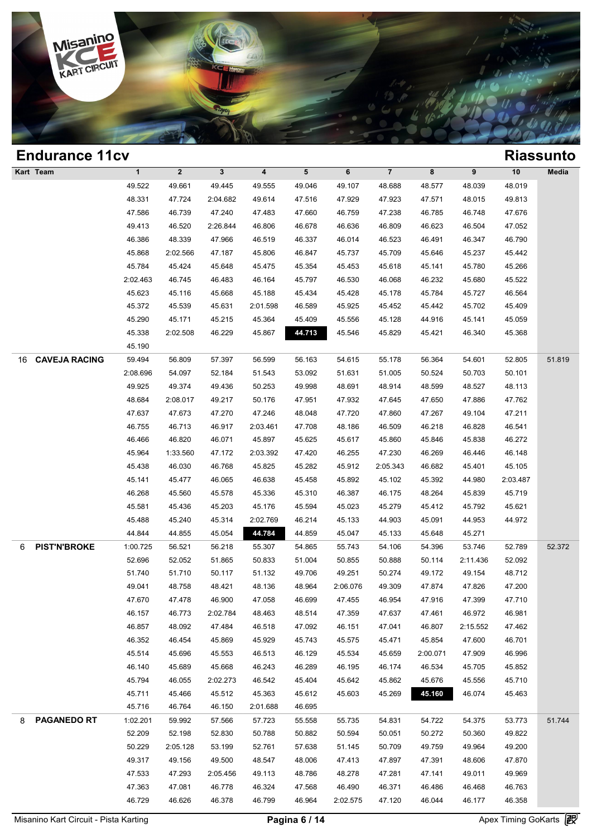

|    | <b>Endurance 11cv</b> |              |              |              |                         |        |          |                |          |          |          | <b>Riassunto</b> |
|----|-----------------------|--------------|--------------|--------------|-------------------------|--------|----------|----------------|----------|----------|----------|------------------|
|    | Kart Team             | $\mathbf{1}$ | $\mathbf{2}$ | $\mathbf{3}$ | $\overline{\mathbf{4}}$ | 5      | 6        | $\overline{7}$ | 8        | 9        | 10       | Media            |
|    |                       | 49.522       | 49.661       | 49.445       | 49.555                  | 49.046 | 49.107   | 48.688         | 48.577   | 48.039   | 48.019   |                  |
|    |                       | 48.331       | 47.724       | 2:04.682     | 49.614                  | 47.516 | 47.929   | 47.923         | 47.571   | 48.015   | 49.813   |                  |
|    |                       | 47.586       | 46.739       | 47.240       | 47.483                  | 47.660 | 46.759   | 47.238         | 46.785   | 46.748   | 47.676   |                  |
|    |                       | 49.413       | 46.520       | 2:26.844     | 46.806                  | 46.678 | 46.636   | 46.809         | 46.623   | 46.504   | 47.052   |                  |
|    |                       | 46.386       | 48.339       | 47.966       | 46.519                  | 46.337 | 46.014   | 46.523         | 46.491   | 46.347   | 46.790   |                  |
|    |                       | 45.868       | 2:02.566     | 47.187       | 45.806                  | 46.847 | 45.737   | 45.709         | 45.646   | 45.237   | 45.442   |                  |
|    |                       | 45.784       | 45.424       | 45.648       | 45.475                  | 45.354 | 45.453   | 45.618         | 45.141   | 45.780   | 45.266   |                  |
|    |                       | 2:02.463     | 46.745       | 46.483       | 46.164                  | 45.797 | 46.530   | 46.068         | 46.232   | 45.680   | 45.522   |                  |
|    |                       | 45.623       | 45.116       | 45.668       | 45.188                  | 45.434 | 45.428   | 45.178         | 45.784   | 45.727   | 46.564   |                  |
|    |                       | 45.372       | 45.539       | 45.631       | 2:01.598                | 46.589 | 45.925   | 45.452         | 45.442   | 45.702   | 45.409   |                  |
|    |                       | 45.290       | 45.171       | 45.215       | 45.364                  | 45.409 | 45.556   | 45.128         | 44.916   | 45.141   | 45.059   |                  |
|    |                       | 45.338       | 2:02.508     | 46.229       | 45.867                  | 44.713 | 45.546   | 45.829         | 45.421   | 46.340   | 45.368   |                  |
|    |                       | 45.190       |              |              |                         |        |          |                |          |          |          |                  |
| 16 | <b>CAVEJA RACING</b>  | 59.494       | 56.809       | 57.397       | 56.599                  | 56.163 | 54.615   | 55.178         | 56.364   | 54.601   | 52.805   | 51.819           |
|    |                       | 2:08.696     | 54.097       | 52.184       | 51.543                  | 53.092 | 51.631   | 51.005         | 50.524   | 50.703   | 50.101   |                  |
|    |                       | 49.925       | 49.374       | 49.436       | 50.253                  | 49.998 | 48.691   | 48.914         | 48.599   | 48.527   | 48.113   |                  |
|    |                       | 48.684       | 2:08.017     | 49.217       | 50.176                  | 47.951 | 47.932   | 47.645         | 47.650   | 47.886   | 47.762   |                  |
|    |                       | 47.637       | 47.673       | 47.270       | 47.246                  | 48.048 | 47.720   | 47.860         | 47.267   | 49.104   | 47.211   |                  |
|    |                       | 46.755       | 46.713       | 46.917       | 2:03.461                | 47.708 | 48.186   | 46.509         | 46.218   | 46.828   | 46.541   |                  |
|    |                       | 46.466       | 46.820       | 46.071       | 45.897                  | 45.625 | 45.617   | 45.860         | 45.846   | 45.838   | 46.272   |                  |
|    |                       | 45.964       | 1:33.560     | 47.172       | 2:03.392                | 47.420 | 46.255   | 47.230         | 46.269   | 46.446   | 46.148   |                  |
|    |                       | 45.438       | 46.030       | 46.768       | 45.825                  | 45.282 | 45.912   | 2:05.343       | 46.682   | 45.401   | 45.105   |                  |
|    |                       | 45.141       | 45.477       | 46.065       | 46.638                  | 45.458 | 45.892   | 45.102         | 45.392   | 44.980   | 2:03.487 |                  |
|    |                       | 46.268       | 45.560       | 45.578       | 45.336                  | 45.310 | 46.387   | 46.175         | 48.264   | 45.839   | 45.719   |                  |
|    |                       | 45.581       | 45.436       | 45.203       | 45.176                  | 45.594 | 45.023   | 45.279         | 45.412   | 45.792   | 45.621   |                  |
|    |                       | 45.488       | 45.240       | 45.314       | 2:02.769                | 46.214 | 45.133   | 44.903         | 45.091   | 44.953   | 44.972   |                  |
|    |                       | 44.844       | 44.855       | 45.054       | 44.784                  | 44.859 | 45.047   | 45.133         | 45.648   | 45.271   |          |                  |
| 6  | <b>PIST'N'BROKE</b>   | 1:00.725     | 56.521       | 56.218       | 55.307                  | 54.865 | 55.743   | 54.106         | 54.396   | 53.746   | 52.789   | 52.372           |
|    |                       | 52.696       | 52.052       | 51.865       | 50.833                  | 51.004 | 50.855   | 50.888         | 50.114   | 2:11.436 | 52.092   |                  |
|    |                       | 51.740       | 51.710       | 50.117       | 51.132                  | 49.706 | 49.251   | 50.274         | 49.172   | 49.154   | 48.712   |                  |
|    |                       | 49.041       | 48.758       | 48.421       | 48.136                  | 48.964 | 2:06.076 | 49.309         | 47.874   | 47.826   | 47.200   |                  |
|    |                       | 47.670       | 47.478       | 46.900       | 47.058                  | 46.699 | 47.455   | 46.954         | 47.916   | 47.399   | 47.710   |                  |
|    |                       | 46.157       | 46.773       | 2:02.784     | 48.463                  | 48.514 | 47.359   | 47.637         | 47.461   | 46.972   | 46.981   |                  |
|    |                       | 46.857       | 48.092       | 47.484       | 46.518                  | 47.092 | 46.151   | 47.041         | 46.807   | 2:15.552 | 47.462   |                  |
|    |                       | 46.352       | 46.454       | 45.869       | 45.929                  | 45.743 | 45.575   | 45.471         | 45.854   | 47.600   | 46.701   |                  |
|    |                       | 45.514       | 45.696       | 45.553       | 46.513                  | 46.129 | 45.534   | 45.659         | 2:00.071 | 47.909   | 46.996   |                  |
|    |                       | 46.140       | 45.689       | 45.668       | 46.243                  | 46.289 | 46.195   | 46.174         | 46.534   | 45.705   | 45.852   |                  |
|    |                       | 45.794       | 46.055       | 2:02.273     | 46.542                  | 45.404 | 45.642   | 45.862         | 45.676   | 45.556   | 45.710   |                  |
|    |                       | 45.711       | 45.466       | 45.512       | 45.363                  | 45.612 | 45.603   | 45.269         | 45.160   | 46.074   | 45.463   |                  |
|    |                       | 45.716       | 46.764       | 46.150       | 2:01.688                | 46.695 |          |                |          |          |          |                  |
| 8  | <b>PAGANEDO RT</b>    | 1:02.201     | 59.992       | 57.566       | 57.723                  | 55.558 | 55.735   | 54.831         | 54.722   | 54.375   | 53.773   | 51.744           |
|    |                       | 52.209       | 52.198       | 52.830       | 50.788                  | 50.882 | 50.594   | 50.051         | 50.272   | 50.360   | 49.822   |                  |
|    |                       | 50.229       | 2:05.128     | 53.199       | 52.761                  | 57.638 | 51.145   | 50.709         | 49.759   | 49.964   | 49.200   |                  |
|    |                       | 49.317       | 49.156       | 49.500       | 48.547                  | 48.006 | 47.413   | 47.897         | 47.391   | 48.606   | 47.870   |                  |
|    |                       | 47.533       | 47.293       | 2:05.456     | 49.113                  | 48.786 | 48.278   | 47.281         | 47.141   | 49.011   | 49.969   |                  |
|    |                       | 47.363       | 47.081       | 46.778       | 46.324                  | 47.568 | 46.490   | 46.371         | 46.486   | 46.468   | 46.763   |                  |
|    |                       | 46.729       | 46.626       | 46.378       | 46.799                  | 46.964 | 2:02.575 | 47.120         | 46.044   | 46.177   | 46.358   |                  |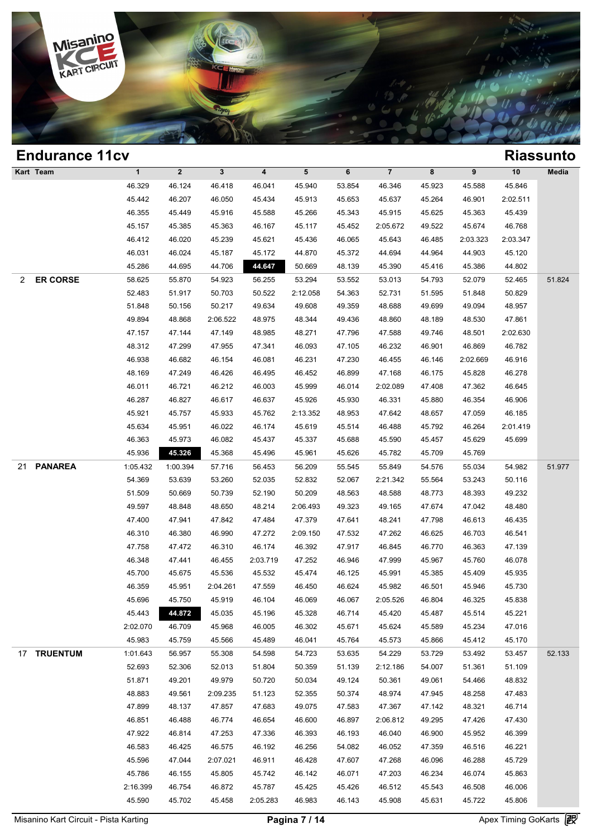

| <b>Endurance 11cv</b> |              |              |              |          |                 |        |                |        |          |          | <b>Riassunto</b> |
|-----------------------|--------------|--------------|--------------|----------|-----------------|--------|----------------|--------|----------|----------|------------------|
| Kart Team             | $\mathbf{1}$ | $\mathbf{2}$ | $\mathbf{3}$ | 4        | $5\phantom{.0}$ | 6      | $\overline{7}$ | 8      | 9        | 10       | Media            |
|                       | 46.329       | 46.124       | 46.418       | 46.041   | 45.940          | 53.854 | 46.346         | 45.923 | 45.588   | 45.846   |                  |
|                       | 45.442       | 46.207       | 46.050       | 45.434   | 45.913          | 45.653 | 45.637         | 45.264 | 46.901   | 2:02.511 |                  |
|                       | 46.355       | 45.449       | 45.916       | 45.588   | 45.266          | 45.343 | 45.915         | 45.625 | 45.363   | 45.439   |                  |
|                       | 45.157       | 45.385       | 45.363       | 46.167   | 45.117          | 45.452 | 2:05.672       | 49.522 | 45.674   | 46.768   |                  |
|                       | 46.412       | 46.020       | 45.239       | 45.621   | 45.436          | 46.065 | 45.643         | 46.485 | 2:03.323 | 2:03.347 |                  |
|                       | 46.031       | 46.024       | 45.187       | 45.172   | 44.870          | 45.372 | 44.694         | 44.964 | 44.903   | 45.120   |                  |
|                       | 45.286       | 44.695       | 44.706       | 44.647   | 50.669          | 48.139 | 45.390         | 45.416 | 45.386   | 44.802   |                  |
| <b>ER CORSE</b><br>2  | 58.625       | 55.870       | 54.923       | 56.255   | 53.294          | 53.552 | 53.013         | 54.793 | 52.079   | 52.465   | 51.824           |
|                       | 52.483       | 51.917       | 50.703       | 50.522   | 2:12.058        | 54.363 | 52.731         | 51.595 | 51.848   | 50.829   |                  |
|                       | 51.848       | 50.156       | 50.217       | 49.634   | 49.608          | 49.359 | 48.688         | 49.699 | 49.094   | 48.957   |                  |
|                       | 49.894       | 48.868       | 2:06.522     | 48.975   | 48.344          | 49.436 | 48.860         | 48.189 | 48.530   | 47.861   |                  |
|                       | 47.157       | 47.144       | 47.149       | 48.985   | 48.271          | 47.796 | 47.588         | 49.746 | 48.501   | 2:02.630 |                  |
|                       | 48.312       | 47.299       | 47.955       | 47.341   | 46.093          | 47.105 | 46.232         | 46.901 | 46.869   | 46.782   |                  |
|                       | 46.938       | 46.682       | 46.154       | 46.081   | 46.231          | 47.230 | 46.455         | 46.146 | 2:02.669 | 46.916   |                  |
|                       | 48.169       | 47.249       | 46.426       | 46.495   | 46.452          | 46.899 | 47.168         | 46.175 | 45.828   | 46.278   |                  |
|                       | 46.011       | 46.721       | 46.212       | 46.003   | 45.999          | 46.014 | 2:02.089       | 47.408 | 47.362   | 46.645   |                  |
|                       | 46.287       | 46.827       | 46.617       | 46.637   | 45.926          | 45.930 | 46.331         | 45.880 | 46.354   | 46.906   |                  |
|                       | 45.921       | 45.757       | 45.933       | 45.762   | 2:13.352        | 48.953 | 47.642         | 48.657 | 47.059   | 46.185   |                  |
|                       | 45.634       | 45.951       | 46.022       | 46.174   | 45.619          | 45.514 | 46.488         | 45.792 | 46.264   | 2:01.419 |                  |
|                       | 46.363       | 45.973       | 46.082       | 45.437   | 45.337          | 45.688 | 45.590         | 45.457 | 45.629   | 45.699   |                  |
|                       | 45.936       | 45.326       | 45.368       | 45.496   | 45.961          | 45.626 | 45.782         | 45.709 | 45.769   |          |                  |
| <b>PANAREA</b><br>21  | 1:05.432     | 1:00.394     | 57.716       | 56.453   | 56.209          | 55.545 | 55.849         | 54.576 | 55.034   | 54.982   | 51.977           |
|                       | 54.369       | 53.639       | 53.260       | 52.035   | 52.832          | 52.067 | 2:21.342       | 55.564 | 53.243   | 50.116   |                  |
|                       | 51.509       | 50.669       | 50.739       | 52.190   | 50.209          | 48.563 | 48.588         | 48.773 | 48.393   | 49.232   |                  |
|                       | 49.597       | 48.848       | 48.650       | 48.214   | 2:06.493        | 49.323 | 49.165         | 47.674 | 47.042   | 48.480   |                  |
|                       | 47.400       | 47.941       | 47.842       | 47.484   | 47.379          | 47.641 | 48.241         | 47.798 | 46.613   | 46.435   |                  |
|                       | 46.310       | 46.380       | 46.990       | 47.272   | 2:09.150        | 47.532 | 47.262         | 46.625 | 46.703   | 46.541   |                  |
|                       | 47.758       | 47.472       | 46.310       | 46.174   | 46.392          | 47.917 | 46.845         | 46.770 | 46.363   | 47.139   |                  |
|                       | 46.348       | 47.441       | 46.455       | 2:03.719 | 47.252          | 46.946 | 47.999         | 45.967 | 45.760   | 46.078   |                  |
|                       | 45.700       | 45.675       | 45.536       | 45.532   | 45.474          | 46.125 | 45.991         | 45.385 | 45.409   | 45.935   |                  |
|                       | 46.359       | 45.951       | 2:04.261     | 47.559   | 46.450          | 46.624 | 45.982         | 46.501 | 45.946   | 45.730   |                  |
|                       | 45.696       | 45.750       | 45.919       | 46.104   | 46.069          | 46.067 | 2:05.526       | 46.804 | 46.325   | 45.838   |                  |
|                       | 45.443       | 44.872       | 45.035       | 45.196   | 45.328          | 46.714 | 45.420         | 45.487 | 45.514   | 45.221   |                  |
|                       | 2:02.070     | 46.709       | 45.968       | 46.005   | 46.302          | 45.671 | 45.624         | 45.589 | 45.234   | 47.016   |                  |
|                       | 45.983       | 45.759       | 45.566       | 45.489   | 46.041          | 45.764 | 45.573         | 45.866 | 45.412   | 45.170   |                  |
| 17 TRUENTUM           | 1:01.643     | 56.957       | 55.308       | 54.598   | 54.723          | 53.635 | 54.229         | 53.729 | 53.492   | 53.457   | 52.133           |
|                       | 52.693       | 52.306       | 52.013       | 51.804   | 50.359          | 51.139 | 2:12.186       | 54.007 | 51.361   | 51.109   |                  |
|                       | 51.871       | 49.201       | 49.979       | 50.720   | 50.034          | 49.124 | 50.361         | 49.061 | 54.466   | 48.832   |                  |
|                       | 48.883       | 49.561       | 2:09.235     | 51.123   | 52.355          | 50.374 | 48.974         | 47.945 | 48.258   | 47.483   |                  |
|                       | 47.899       | 48.137       | 47.857       | 47.683   | 49.075          | 47.583 | 47.367         | 47.142 | 48.321   | 46.714   |                  |
|                       | 46.851       | 46.488       | 46.774       | 46.654   | 46.600          | 46.897 | 2:06.812       | 49.295 | 47.426   | 47.430   |                  |
|                       | 47.922       | 46.814       | 47.253       | 47.336   | 46.393          | 46.193 | 46.040         | 46.900 | 45.952   | 46.399   |                  |
|                       | 46.583       | 46.425       | 46.575       | 46.192   | 46.256          | 54.082 | 46.052         | 47.359 | 46.516   | 46.221   |                  |
|                       | 45.596       | 47.044       | 2:07.021     | 46.911   | 46.428          | 47.607 | 47.268         | 46.096 | 46.288   | 45.729   |                  |
|                       | 45.786       | 46.155       | 45.805       | 45.742   | 46.142          | 46.071 | 47.203         | 46.234 | 46.074   | 45.863   |                  |
|                       | 2:16.399     | 46.754       | 46.872       | 45.787   | 45.425          | 45.426 | 46.512         | 45.543 | 46.508   | 46.006   |                  |
|                       | 45.590       | 45.702       | 45.458       | 2:05.283 | 46.983          | 46.143 | 45.908         | 45.631 | 45.722   | 45.806   |                  |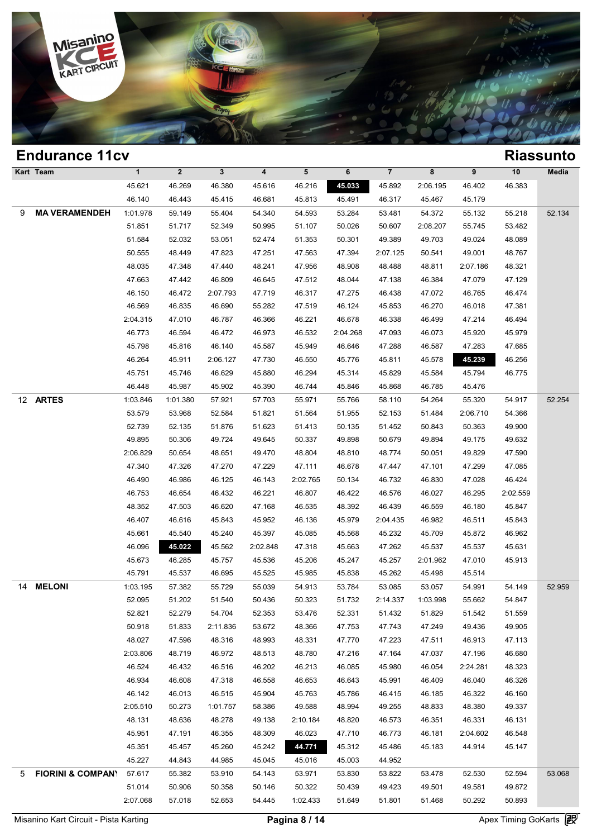

|     | <b>Endurance 11cv</b>        |             |              |              |                         |          |          |                |          |          |                                                                                                                                                                                                                                                                                                                                                                                                                                                        |        |
|-----|------------------------------|-------------|--------------|--------------|-------------------------|----------|----------|----------------|----------|----------|--------------------------------------------------------------------------------------------------------------------------------------------------------------------------------------------------------------------------------------------------------------------------------------------------------------------------------------------------------------------------------------------------------------------------------------------------------|--------|
|     | Kart Team                    | $\mathbf 1$ | $\mathbf{2}$ | $\mathbf{3}$ | $\overline{\mathbf{4}}$ | 5        | 6        | $\overline{7}$ | 8        | 9        | 10                                                                                                                                                                                                                                                                                                                                                                                                                                                     | Media  |
|     |                              | 45.621      | 46.269       | 46.380       | 45.616                  | 46.216   | 45.033   | 45.892         | 2:06.195 | 46.402   | 46.383                                                                                                                                                                                                                                                                                                                                                                                                                                                 |        |
|     |                              | 46.140      | 46.443       | 45.415       | 46.681                  | 45.813   | 45.491   | 46.317         | 45.467   | 45.179   |                                                                                                                                                                                                                                                                                                                                                                                                                                                        |        |
| 9   | <b>MA VERAMENDEH</b>         | 1:01.978    | 59.149       | 55.404       | 54.340                  | 54.593   | 53.284   | 53.481         | 54.372   | 55.132   | <b>Riassunto</b><br>55.218<br>53.482<br>48.089<br>48.767<br>48.321<br>47.129<br>46.474<br>47.381<br>46.494<br>45.979<br>47.685<br>46.256<br>46.775<br>54.917<br>54.366<br>49.900<br>49.632<br>47.590<br>47.085<br>46.424<br>2:02.559<br>45.847<br>45.843<br>46.962<br>45.631<br>45.913<br>54.149<br>54.847<br>51.559<br>49.905<br>47.113<br>46.680<br>48.323<br>46.326<br>46.160<br>49.337<br>46.131<br>46.548<br>45.147<br>52.594<br>49.872<br>50.893 | 52.134 |
|     |                              | 51.851      | 51.717       | 52.349       | 50.995                  | 51.107   | 50.026   | 50.607         | 2:08.207 | 55.745   |                                                                                                                                                                                                                                                                                                                                                                                                                                                        |        |
|     |                              | 51.584      | 52.032       | 53.051       | 52.474                  | 51.353   | 50.301   | 49.389         | 49.703   | 49.024   |                                                                                                                                                                                                                                                                                                                                                                                                                                                        |        |
|     |                              | 50.555      | 48.449       | 47.823       | 47.251                  | 47.563   | 47.394   | 2:07.125       | 50.541   | 49.001   |                                                                                                                                                                                                                                                                                                                                                                                                                                                        |        |
|     |                              | 48.035      | 47.348       | 47.440       | 48.241                  | 47.956   | 48.908   | 48.488         | 48.811   | 2:07.186 |                                                                                                                                                                                                                                                                                                                                                                                                                                                        |        |
|     |                              | 47.663      | 47.442       | 46.809       | 46.645                  | 47.512   | 48.044   | 47.138         | 46.384   | 47.079   |                                                                                                                                                                                                                                                                                                                                                                                                                                                        |        |
|     |                              | 46.150      | 46.472       | 2:07.793     | 47.719                  | 46.317   | 47.275   | 46.438         | 47.072   | 46.765   |                                                                                                                                                                                                                                                                                                                                                                                                                                                        |        |
|     |                              | 46.569      | 46.835       | 46.690       | 55.282                  | 47.519   | 46.124   | 45.853         | 46.270   | 46.018   |                                                                                                                                                                                                                                                                                                                                                                                                                                                        |        |
|     |                              | 2:04.315    | 47.010       | 46.787       | 46.366                  | 46.221   | 46.678   | 46.338         | 46.499   | 47.214   |                                                                                                                                                                                                                                                                                                                                                                                                                                                        |        |
|     |                              | 46.773      | 46.594       | 46.472       | 46.973                  | 46.532   | 2:04.268 | 47.093         | 46.073   | 45.920   |                                                                                                                                                                                                                                                                                                                                                                                                                                                        |        |
|     |                              | 45.798      | 45.816       | 46.140       | 45.587                  | 45.949   | 46.646   | 47.288         | 46.587   | 47.283   |                                                                                                                                                                                                                                                                                                                                                                                                                                                        |        |
|     |                              | 46.264      | 45.911       | 2:06.127     | 47.730                  | 46.550   | 45.776   | 45.811         | 45.578   | 45.239   |                                                                                                                                                                                                                                                                                                                                                                                                                                                        |        |
|     |                              | 45.751      | 45.746       | 46.629       | 45.880                  | 46.294   | 45.314   | 45.829         | 45.584   | 45.794   |                                                                                                                                                                                                                                                                                                                                                                                                                                                        |        |
|     |                              | 46.448      | 45.987       | 45.902       | 45.390                  | 46.744   | 45.846   | 45.868         | 46.785   | 45.476   |                                                                                                                                                                                                                                                                                                                                                                                                                                                        |        |
|     | 12 ARTES                     | 1:03.846    | 1:01.380     | 57.921       | 57.703                  | 55.971   | 55.766   | 58.110         | 54.264   | 55.320   |                                                                                                                                                                                                                                                                                                                                                                                                                                                        | 52.254 |
|     |                              | 53.579      | 53.968       | 52.584       | 51.821                  | 51.564   | 51.955   | 52.153         | 51.484   | 2:06.710 |                                                                                                                                                                                                                                                                                                                                                                                                                                                        |        |
|     |                              | 52.739      | 52.135       | 51.876       | 51.623                  | 51.413   | 50.135   | 51.452         | 50.843   | 50.363   |                                                                                                                                                                                                                                                                                                                                                                                                                                                        |        |
|     |                              | 49.895      | 50.306       | 49.724       | 49.645                  | 50.337   | 49.898   | 50.679         | 49.894   | 49.175   |                                                                                                                                                                                                                                                                                                                                                                                                                                                        |        |
|     |                              | 2:06.829    | 50.654       | 48.651       | 49.470                  | 48.804   | 48.810   | 48.774         | 50.051   | 49.829   |                                                                                                                                                                                                                                                                                                                                                                                                                                                        |        |
|     |                              | 47.340      | 47.326       | 47.270       | 47.229                  | 47.111   | 46.678   | 47.447         | 47.101   | 47.299   |                                                                                                                                                                                                                                                                                                                                                                                                                                                        |        |
|     |                              | 46.490      | 46.986       | 46.125       | 46.143                  | 2:02.765 | 50.134   | 46.732         | 46.830   | 47.028   |                                                                                                                                                                                                                                                                                                                                                                                                                                                        |        |
|     |                              | 46.753      | 46.654       | 46.432       | 46.221                  | 46.807   | 46.422   | 46.576         | 46.027   | 46.295   |                                                                                                                                                                                                                                                                                                                                                                                                                                                        |        |
|     |                              | 48.352      | 47.503       | 46.620       | 47.168                  | 46.535   | 48.392   | 46.439         | 46.559   | 46.180   |                                                                                                                                                                                                                                                                                                                                                                                                                                                        |        |
|     |                              | 46.407      | 46.616       | 45.843       | 45.952                  | 46.136   | 45.979   | 2:04.435       | 46.982   | 46.511   |                                                                                                                                                                                                                                                                                                                                                                                                                                                        |        |
|     |                              | 45.661      | 45.540       | 45.240       | 45.397                  | 45.085   | 45.568   | 45.232         | 45.709   | 45.872   |                                                                                                                                                                                                                                                                                                                                                                                                                                                        |        |
|     |                              | 46.096      | 45.022       | 45.562       | 2:02.848                | 47.318   | 45.663   | 47.262         | 45.537   | 45.537   |                                                                                                                                                                                                                                                                                                                                                                                                                                                        |        |
|     |                              | 45.673      | 46.285       | 45.757       | 45.536                  | 45.206   | 45.247   | 45.257         | 2:01.962 | 47.010   |                                                                                                                                                                                                                                                                                                                                                                                                                                                        |        |
|     |                              | 45.791      | 45.537       | 46.695       | 45.525                  | 45.985   | 45.838   | 45.262         | 45.498   | 45.514   |                                                                                                                                                                                                                                                                                                                                                                                                                                                        |        |
| 14. | <b>MELONI</b>                | 1:03.195    | 57.382       | 55.729       | 55.039                  | 54.913   | 53.784   | 53.085         | 53.057   | 54.991   |                                                                                                                                                                                                                                                                                                                                                                                                                                                        | 52.959 |
|     |                              | 52.095      | 51.202       | 51.540       | 50.436                  | 50.323   | 51.732   | 2:14.337       | 1:03.998 | 55.662   |                                                                                                                                                                                                                                                                                                                                                                                                                                                        |        |
|     |                              | 52.821      | 52.279       | 54.704       | 52.353                  | 53.476   | 52.331   | 51.432         | 51.829   | 51.542   |                                                                                                                                                                                                                                                                                                                                                                                                                                                        |        |
|     |                              | 50.918      | 51.833       | 2:11.836     | 53.672                  | 48.366   | 47.753   | 47.743         | 47.249   | 49.436   |                                                                                                                                                                                                                                                                                                                                                                                                                                                        |        |
|     |                              | 48.027      | 47.596       | 48.316       | 48.993                  | 48.331   | 47.770   | 47.223         | 47.511   | 46.913   |                                                                                                                                                                                                                                                                                                                                                                                                                                                        |        |
|     |                              | 2:03.806    | 48.719       | 46.972       | 48.513                  | 48.780   | 47.216   | 47.164         | 47.037   | 47.196   |                                                                                                                                                                                                                                                                                                                                                                                                                                                        |        |
|     |                              | 46.524      | 46.432       | 46.516       | 46.202                  | 46.213   | 46.085   | 45.980         | 46.054   | 2:24.281 |                                                                                                                                                                                                                                                                                                                                                                                                                                                        |        |
|     |                              | 46.934      | 46.608       | 47.318       | 46.558                  | 46.653   | 46.643   | 45.991         | 46.409   | 46.040   |                                                                                                                                                                                                                                                                                                                                                                                                                                                        |        |
|     |                              |             |              |              |                         |          |          |                |          |          |                                                                                                                                                                                                                                                                                                                                                                                                                                                        |        |
|     |                              | 46.142      | 46.013       | 46.515       | 45.904                  | 45.763   | 45.786   | 46.415         | 46.185   | 46.322   |                                                                                                                                                                                                                                                                                                                                                                                                                                                        |        |
|     |                              | 2:05.510    | 50.273       | 1:01.757     | 58.386                  | 49.588   | 48.994   | 49.255         | 48.833   | 48.380   |                                                                                                                                                                                                                                                                                                                                                                                                                                                        |        |
|     |                              | 48.131      | 48.636       | 48.278       | 49.138                  | 2:10.184 | 48.820   | 46.573         | 46.351   | 46.331   |                                                                                                                                                                                                                                                                                                                                                                                                                                                        |        |
|     |                              | 45.951      | 47.191       | 46.355       | 48.309                  | 46.023   | 47.710   | 46.773         | 46.181   | 2:04.602 |                                                                                                                                                                                                                                                                                                                                                                                                                                                        |        |
|     |                              | 45.351      | 45.457       | 45.260       | 45.242                  | 44.771   | 45.312   | 45.486         | 45.183   | 44.914   |                                                                                                                                                                                                                                                                                                                                                                                                                                                        |        |
|     |                              | 45.227      | 44.843       | 44.985       | 45.045                  | 45.016   | 45.003   | 44.952         |          |          |                                                                                                                                                                                                                                                                                                                                                                                                                                                        |        |
| 5   | <b>FIORINI &amp; COMPANY</b> | 57.617      | 55.382       | 53.910       | 54.143                  | 53.971   | 53.830   | 53.822         | 53.478   | 52.530   |                                                                                                                                                                                                                                                                                                                                                                                                                                                        | 53.068 |
|     |                              | 51.014      | 50.906       | 50.358       | 50.146                  | 50.322   | 50.439   | 49.423         | 49.501   | 49.581   |                                                                                                                                                                                                                                                                                                                                                                                                                                                        |        |
|     |                              | 2:07.068    | 57.018       | 52.653       | 54.445                  | 1:02.433 | 51.649   | 51.801         | 51.468   | 50.292   |                                                                                                                                                                                                                                                                                                                                                                                                                                                        |        |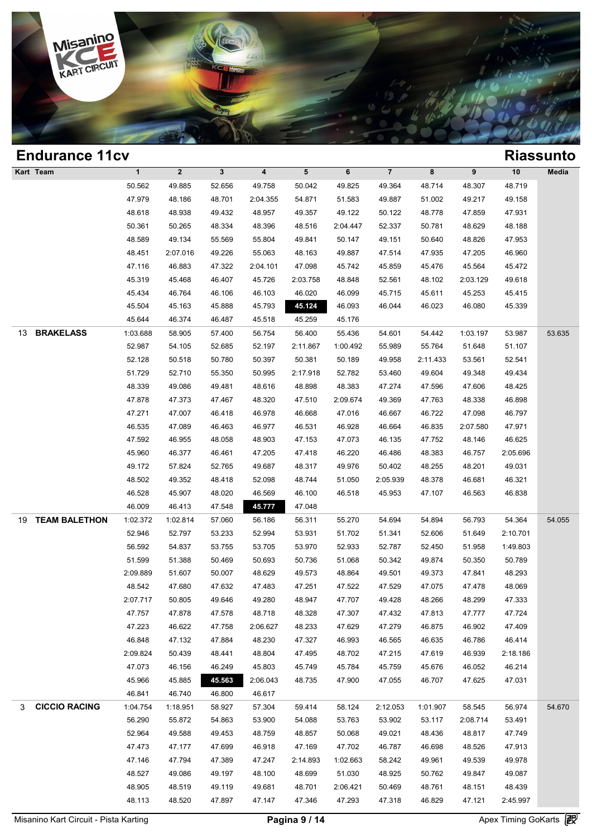

|    | <b>Endurance 11cv</b> |              |                |              |                         |          |          |                |          |          |          | <b>Riassunto</b> |
|----|-----------------------|--------------|----------------|--------------|-------------------------|----------|----------|----------------|----------|----------|----------|------------------|
|    | Kart Team             | $\mathbf{1}$ | $\overline{2}$ | $\mathbf{3}$ | $\overline{\mathbf{4}}$ | 5        | 6        | $\overline{7}$ | 8        | 9        | 10       | Media            |
|    |                       | 50.562       | 49.885         | 52.656       | 49.758                  | 50.042   | 49.825   | 49.364         | 48.714   | 48.307   | 48.719   |                  |
|    |                       | 47.979       | 48.186         | 48.701       | 2:04.355                | 54.871   | 51.583   | 49.887         | 51.002   | 49.217   | 49.158   |                  |
|    |                       | 48.618       | 48.938         | 49.432       | 48.957                  | 49.357   | 49.122   | 50.122         | 48.778   | 47.859   | 47.931   |                  |
|    |                       | 50.361       | 50.265         | 48.334       | 48.396                  | 48.516   | 2:04.447 | 52.337         | 50.781   | 48.629   | 48.188   |                  |
|    |                       | 48.589       | 49.134         | 55.569       | 55.804                  | 49.841   | 50.147   | 49.151         | 50.640   | 48.826   | 47.953   |                  |
|    |                       | 48.451       | 2:07.016       | 49.226       | 55.063                  | 48.163   | 49.887   | 47.514         | 47.935   | 47.205   | 46.960   |                  |
|    |                       | 47.116       | 46.883         | 47.322       | 2:04.101                | 47.098   | 45.742   | 45.859         | 45.476   | 45.564   | 45.472   |                  |
|    |                       | 45.319       | 45.468         | 46.407       | 45.726                  | 2:03.758 | 48.848   | 52.561         | 48.102   | 2:03.129 | 49.618   |                  |
|    |                       | 45.434       | 46.764         | 46.106       | 46.103                  | 46.020   | 46.099   | 45.715         | 45.611   | 45.253   | 45.415   |                  |
|    |                       | 45.504       | 45.163         | 45.888       | 45.793                  | 45.124   | 46.093   | 46.044         | 46.023   | 46.080   | 45.339   |                  |
|    |                       | 45.644       | 46.374         | 46.487       | 45.518                  | 45.259   | 45.176   |                |          |          |          |                  |
| 13 | <b>BRAKELASS</b>      | 1:03.688     | 58.905         | 57.400       | 56.754                  | 56.400   | 55.436   | 54.601         | 54.442   | 1:03.197 | 53.987   | 53.635           |
|    |                       | 52.987       | 54.105         | 52.685       | 52.197                  | 2:11.867 | 1:00.492 | 55.989         | 55.764   | 51.648   | 51.107   |                  |
|    |                       | 52.128       | 50.518         | 50.780       | 50.397                  | 50.381   | 50.189   | 49.958         | 2:11.433 | 53.561   | 52.541   |                  |
|    |                       | 51.729       | 52.710         | 55.350       | 50.995                  | 2:17.918 | 52.782   | 53.460         | 49.604   | 49.348   | 49.434   |                  |
|    |                       | 48.339       | 49.086         | 49.481       | 48.616                  | 48.898   | 48.383   | 47.274         | 47.596   | 47.606   | 48.425   |                  |
|    |                       | 47.878       | 47.373         | 47.467       | 48.320                  | 47.510   | 2:09.674 | 49.369         | 47.763   | 48.338   | 46.898   |                  |
|    |                       | 47.271       | 47.007         | 46.418       | 46.978                  | 46.668   | 47.016   | 46.667         | 46.722   | 47.098   | 46.797   |                  |
|    |                       | 46.535       | 47.089         | 46.463       | 46.977                  | 46.531   | 46.928   | 46.664         | 46.835   | 2:07.580 | 47.971   |                  |
|    |                       | 47.592       | 46.955         | 48.058       | 48.903                  | 47.153   | 47.073   | 46.135         | 47.752   | 48.146   | 46.625   |                  |
|    |                       | 45.960       | 46.377         | 46.461       | 47.205                  | 47.418   | 46.220   | 46.486         | 48.383   | 46.757   | 2:05.696 |                  |
|    |                       | 49.172       | 57.824         | 52.765       | 49.687                  | 48.317   | 49.976   | 50.402         | 48.255   | 48.201   | 49.031   |                  |
|    |                       | 48.502       | 49.352         | 48.418       | 52.098                  | 48.744   | 51.050   | 2:05.939       | 48.378   | 46.681   | 46.321   |                  |
|    |                       | 46.528       | 45.907         | 48.020       | 46.569                  | 46.100   | 46.518   | 45.953         | 47.107   | 46.563   | 46.838   |                  |
|    |                       | 46.009       | 46.413         | 47.548       | 45.777                  | 47.048   |          |                |          |          |          |                  |
| 19 | <b>TEAM BALETHON</b>  | 1:02.372     | 1:02.814       | 57.060       | 56.186                  | 56.311   | 55.270   | 54.694         | 54.894   | 56.793   | 54.364   | 54.055           |
|    |                       | 52.946       | 52.797         | 53.233       | 52.994                  | 53.931   | 51.702   | 51.341         | 52.606   | 51.649   | 2:10.701 |                  |
|    |                       | 56.592       | 54.837         | 53.755       | 53.705                  | 53.970   | 52.933   | 52.787         | 52.450   | 51.958   | 1:49.803 |                  |
|    |                       | 51.599       | 51.388         | 50.469       | 50.693                  | 50.736   | 51.068   | 50.342         | 49.874   | 50.350   | 50.789   |                  |
|    |                       | 2:09.889     | 51.607         | 50.007       | 48.629                  | 49.573   | 48.864   | 49.501         | 49.373   | 47.841   | 48.293   |                  |
|    |                       | 48.542       | 47.680         | 47.632       | 47.483                  | 47.251   | 47.522   | 47.529         | 47.075   | 47.478   | 48.069   |                  |
|    |                       | 2:07.717     | 50.805         | 49.646       | 49.280                  | 48.947   | 47.707   | 49.428         | 48.266   | 48.299   | 47.333   |                  |
|    |                       | 47.757       | 47.878         | 47.578       | 48.718                  | 48.328   | 47.307   | 47.432         | 47.813   | 47.777   | 47.724   |                  |
|    |                       | 47.223       | 46.622         | 47.758       | 2:06.627                | 48.233   | 47.629   | 47.279         | 46.875   | 46.902   | 47.409   |                  |
|    |                       | 46.848       | 47.132         | 47.884       | 48.230                  | 47.327   | 46.993   | 46.565         | 46.635   | 46.786   | 46.414   |                  |
|    |                       | 2:09.824     | 50.439         | 48.441       | 48.804                  | 47.495   | 48.702   | 47.215         | 47.619   | 46.939   | 2:18.186 |                  |
|    |                       | 47.073       | 46.156         | 46.249       | 45.803                  | 45.749   | 45.784   | 45.759         | 45.676   | 46.052   | 46.214   |                  |
|    |                       | 45.966       | 45.885         | 45.563       | 2:06.043                | 48.735   | 47.900   | 47.055         | 46.707   | 47.625   | 47.031   |                  |
|    |                       | 46.841       | 46.740         | 46.800       | 46.617                  |          |          |                |          |          |          |                  |
| 3  | <b>CICCIO RACING</b>  | 1:04.754     | 1:18.951       | 58.927       | 57.304                  | 59.414   | 58.124   | 2:12.053       | 1:01.907 | 58.545   | 56.974   | 54.670           |
|    |                       | 56.290       | 55.872         | 54.863       | 53.900                  | 54.088   | 53.763   | 53.902         | 53.117   | 2:08.714 | 53.491   |                  |
|    |                       | 52.964       | 49.588         | 49.453       | 48.759                  | 48.857   | 50.068   | 49.021         | 48.436   | 48.817   | 47.749   |                  |
|    |                       | 47.473       | 47.177         | 47.699       | 46.918                  | 47.169   | 47.702   | 46.787         | 46.698   | 48.526   | 47.913   |                  |
|    |                       | 47.146       | 47.794         | 47.389       | 47.247                  | 2:14.893 | 1:02.663 | 58.242         | 49.961   | 49.539   | 49.978   |                  |
|    |                       | 48.527       | 49.086         | 49.197       | 48.100                  | 48.699   | 51.030   | 48.925         | 50.762   | 49.847   | 49.087   |                  |
|    |                       | 48.905       | 48.519         | 49.119       | 49.681                  | 48.701   | 2:06.421 | 50.469         | 48.761   | 48.151   | 48.439   |                  |
|    |                       | 48.113       | 48.520         | 47.897       | 47.147                  | 47.346   | 47.293   | 47.318         | 46.829   | 47.121   | 2:45.997 |                  |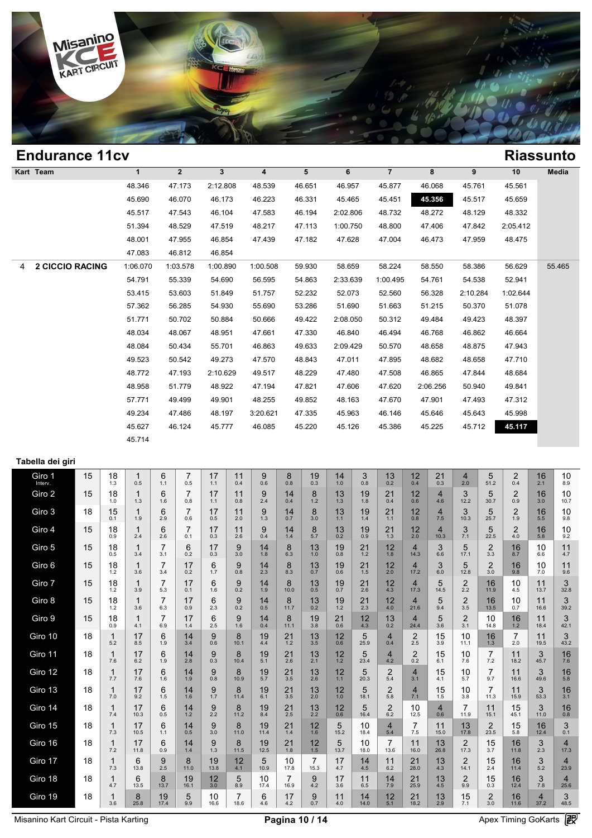

### **Endurance 11cv Riassunto Kart Team 1 2 3 4 5 6 7 8 9 10 Media 1**<br>
48.346 47.173 2:12.808 48.539 46.651 46.957 45.877 46.068 45.761 45.561<br>
46.690 46.070 46.173 46.273 46.273 46.271 46.455 45.451 45.561 45.561 45.560 **KICLSSUII**<br>
1 2 3 4 5 6 7 8 9 10 Med<br>
46.651 46.957 45.877 46.068 45.761 45.561<br>
45.690 46.070 46.173 46.223 46.331 45.465 45.451 45.556 45.761 45.561<br>
45.517 47.543 46.173 46.223 46.331 45.465 45.451 45.556 45.517 45.659 46.346 47.173 2:12.808 48.539 46.651 46.957 45.877 46.068 45.761 45.561 45.690 46.070 46.173 46.223 46.331 45.465 45.451 45.557 45.567 47.543 46.104 47.583 46.194 2:02.806 48.732 48.272 48.129 48.332 48.346 47.173 2:12.808 48.539 46.651 46.957 45.877 46.068 45.761 45.561<br>45.690 46.070 46.173 46.223 46.331 45.465 45.451 45.356 45.517 45.659<br>45.517 47.543 46.104 47.583 46.194 2:02.806 48.732 48.272 48.129 48.332<br>51.394 4 46.070 46.173 46.223 46.331 45.465 45.451 45.356 45.517 45.659<br>45.517 47.543 46.104 47.583 46.194 2:02.806 48.732 48.272 48.129 48.332<br>51.394 48.529 47.519 48.217 47.113 1:00.750 48.800 47.406 47.842 2:05.412<br>48.001 47.955 45.517 47.543 46.104 47.51<br>
51.394 48.529 47.519 48.2<br>
48.001 47.955 46.854 47.41<br>
47.083 46.812 46.854 4 **2 CICCIO RACING** 1:06.070 1:03.578 1:00.890 1:00.508 59.930 58.659 58.224 58.550 58.386 56.629 55.465 46.001 47.955 46.854 47.439 47.182 47.628 47.004 46.473 47.959 48.475<br>
47.083 46.812 46.854<br>  $\cdot 0.6.070$  1:03.578 1:00.890 1:00.508 59.930 58.659 58.224 58.550 58.386 56.629 55.4<br>
54.791 55.339 54.690 56.595 54.863 2:33.6 47.083 46.812 46.854<br>  $1.06.070$  1.03.578 1.00.890 1.00.508 59.930 58.659 58.224 58.550 58.386 56.629 55.4<br>
54.791 55.339 54.690 56.595 54.863 2:33.639 1:00.495 54.761 54.538 52.941<br>
53.415 53.603 51.849 51.757 52.232 52.0  $57.362$   $57.362$   $58.285$   $54.930$   $58.659$   $58.360$   $58.360$   $58.386$   $56.629$   $55.4$ <br>  $57.362$   $56.285$   $54.930$   $55.690$   $53.286$   $51.690$   $53.286$   $51.690$   $53.286$   $51.690$   $51.663$   $51.215$   $50.370$   $51.078$ <br>  $57.3$ 54.791 55.339 54.690 56.595 54.863 2:33.639 1:00.495 54.761 54.538 52.941<br>53.415 53.603 51.849 51.757 52.232 52.073 52.560 56.328 2:10.284 1:02.644<br>57.362 56.285 54.930 55.690 53.286 51.690 51.663 51.215 50.370 51.078<br>51.7 53.415 53.603 51.849 51.757 52.232 52.073 52.560 56.328 2:10.284 1:02.644<br>57.362 56.285 54.930 55.690 53.286 51.690 51.663 51.215 50.370 51.078<br>51.771 50.702 50.884 50.666 49.422 2:08.050 50.312 49.484 49.423 48.397<br>48.034 57.362 56.285 54.930 55.690 53.286 51.690 51.663 51.215 50.370 51.078<br>51.771 50.702 50.884 50.666 49.422 2:08.050 50.312 49.484 49.423 48.397<br>48.034 48.067 48.951 47.661 47.330 46.840 46.494 46.768 46.862 46.664<br>48.084 50.  $48.034$   $49.422$   $49.422$   $49.423$   $49.423$   $48.397$ <br>  $48.034$   $48.067$   $48.951$   $47.661$   $47.330$   $46.840$   $46.494$   $46.768$   $46.862$   $46.664$ <br>  $48.084$   $50.434$   $55.701$   $46.863$   $49.633$   $2:09.429$   $50.570$   $48.658$  48.034 48.067 48.951 47.661 47.330 46.840 46.494 46.768 46.862 46.664<br>48.084 50.434 55.701 46.863 49.633 2:09.429 50.570 48.658 48.875 47.943<br>49.523 50.542 49.273 47.570 48.843 47.011 47.895 48.682 48.658 47.710<br>48.772 47. 48.084 50.434 55.701 46.863 49.633 2:09.429 50.570 48.658 48.875 47.943<br>49.523 50.542 49.273 47.570 48.843 47.011 47.895 48.682 48.658 47.710<br>48.772 47.193 2:10.629 49.517 48.229 47.480 47.508 46.865 47.844 48.684<br>48.958 5 49.523 50.542 49.273 47.570 48.843 47.011 47.895 48.682 48.658 47.710<br>48.772 47.193 2:10.629 49.517 48.229 47.480 47.508 46.865 47.844 48.684<br>48.958 51.779 48.922 47.194 47.821 47.606 47.620 2:06.256 50.940 49.841<br>57.771 4 48.772 47.193 2:10.629 49.517 48.229 47.480 47.508 46.865 47.844 48.684<br>48.958 51.779 48.922 47.194 47.821 47.606 47.620 2:06.256 50.940 49.841<br>57.771 49.499 49.901 48.255 49.852 48.163 47.670 47.901 47.493 47.312<br>49.234 4 46.958 51.779 48.922 47.194 47.821 47.606 47.620 2:06.256 50.940 49.841<br>
57.771 49.499 49.901 48.255 49.852 48.163 47.670 47.901 47.493 47.312<br>
49.234 47.486 48.197 3:20.621 47.335 45.963 46.146 45.646 45.643 45.998<br>
45.62 45.714 **Tabella dei giri** Giro 1 15 **Siro 1** 15 18 1<br>Interv. 15 1.3 0.5  $\begin{array}{|c|c|c|c|c|}\n 1 & 6 \\
 \hline\n 1.3 & 0.5 & 1.1\n \end{array}$  $\begin{array}{|c|c|c|c|c|}\n1 & 6 & 7 & 17 \\
\hline\n0.5 & 1.1 & 0.5 & 1.1\n\end{array}$  $\begin{array}{|c|c|c|}\n 17 & 11 \\
 \hline\n 1.1 & 0.4\n \end{array}$  $\begin{array}{|c|c|c|c|c|}\n 11 & 9 & 8 \\
 \hline\n 1.1 & 0.4 & 0.6 & 0.8\n \end{array}$  $\begin{array}{c|c|c|c|c} 9 & 8 & 19 & 14 \\ 0.6 & 0.8 & 0.3 & 1.0 \end{array}$  $\begin{array}{c|c} 14 & 3 \\ 1.0 & 0.8 \end{array}$  $13<sub>0.2</sub>$  $\begin{array}{c|c|c|c|c} 3 & 13 & 12 & 21 \\ 0.8 & 0.2 & 0.4 & 0.3 \end{array}$  $\begin{array}{|c|c|c|}\n 21 & 4 \\
 \hline\n 0.3 & 2.0\n \end{array}$  $\begin{array}{|c|c|c|c|c|}\n 21 & 4 & 5 & 2 & 16 \\
 \hline\n0.3 & 2.0 & 51.2 & 0.4 & 2.1\n \end{array}$  $\begin{array}{|c|c|c|c|}\n 2 & 16 & 10 \\
 \hline\n 0.4 & 2.1 & 8.9\n \end{array}$ 8.9 Giro 2 15  $18 \t 18 \t 10$  $\begin{array}{c|c} 1 & 6 \\ 1.3 & 1.6 \end{array}$  $\begin{array}{|c|c|c|c|c|c|}\n1.3 & 6 & 7 & 17 \\
\hline\n1.3 & 1.6 & 0.8 & 1.1\n\end{array}$  $17^{17}_{1.1}$  $\begin{array}{c|c} 11 & 9 \\ 0.8 & 2.4 \end{array}$  $\begin{array}{|c|c|c|c|c|}\n 11 & 9 & 14 & 8 \\
 \hline\n 0.8 & 2.4 & 0.4 & 1.2\n \end{array}$  $\begin{array}{|c|c|c|c|c|}\n 14 & 8 & 13 & 19 \\
 \hline\n0.4 & 1.2 & 1.3 & 1.8\n \end{array}$  $\begin{array}{|c|c|c|c|c|}\n 13 & 19 & 21 & 12 \\
 \hline\n & 1.8 & 0.4 & 0.6\n \end{array}$  $12 \t 4$ <br>0.6 4.6  $\begin{array}{|c|c|c|c|}\n 12 & 4 & 3 & 5 \\
 \hline\n 0.6 & 4.6 & 12.2 & 30.7\n \end{array}$  $\begin{array}{c|c|c|c|c} 3 & 5 & 2 & 16 \\ 12.2 & 30.7 & 0.9 & 3.0 \end{array}$  $\begin{array}{c|c} 2 & 16 & 10 \\ 0.9 & 3.0 & 10.7 \end{array}$ 10.7 Giro 3 18  $15 \t 1.9$  $6 \atop 2.9$  $\begin{array}{c|c|c|c|c} 1 & 6 & 7 & 17 \\ \hline 1.9 & 2.9 & 0.6 & 0.5 \end{array}$  $17 \n0.5$  $\begin{array}{|c|c|} \hline 11 & 9 \\ 2.0 & 1.3 \end{array}$  $\begin{array}{|c|c|c|c|c|}\n 11 & 9 & 14 & 8 \\
 \hline\n 2.0 & 1.3 & 0.7 & 3.0\n \end{array}$  $\begin{array}{|c|c|c|c|c|}\n 14 & 8 & 13 & 19 \\
 \hline\n 0.7 & 3.0 & 1.1 & 1.4\n \end{array}$  $\begin{array}{|c|c|c|c|c|}\n 1.3 & 1.9 & 21 & 1.2 \\
 \hline\n 1.1 & 1.4 & 1.1 & 0.8\n \end{array}$  $\begin{array}{c|c} 12 & 4 \\ 0.8 & 7.5 \end{array}$  $3/10.3$  $\begin{array}{|c|c|c|c|c|}\n 4 & 3 & 5 & 2 & 16 \\
 \hline\n 7.5 & 10.3 & 25.7 & 1.9 & 5.5\n \end{array}$  $\begin{array}{c|c} 2 & 16 & 10 \\ 1.9 & 5.5 & 9.8 \end{array}$ 9.8 Giro 4 15  $\begin{array}{|c|c|c|c|} \hline 18 & 18 & 1 \ \hline 0.9 & 2.4 & \ \hline \end{array}$  $\begin{array}{|c|c|c|c|c|}\n 1 & 6 & 7 \\
 \hline\n 0.9 & 2.4 & 2.6 & 0.1\n \end{array}$  $\begin{array}{|c|c|c|c|c|}\n6 & 7 & 17 & 11 \\
2.6 & 0.1 & 0.3 & 2.6\n\end{array}$  $\begin{array}{c|c} 11 & 9 \\ 2.6 & 0.4 \end{array}$  $\begin{array}{|c|c|c|c|c|}\n 11 & 9 & 14 & 8 \\
 \hline\n 2.6 & 0.4 & 1.4 & 5.7\n \end{array}$  $\begin{array}{|c|c|c|c|c|}\n 14 & 8 & 13 & 19 \\
 \hline\n & 5.7 & 0.2 & 0.9\n \end{array}$  $19<sub>0.9</sub>$  $21 \n\begin{array}{|c|c|}\n12 \n\hline\n1.3 \n\end{array}$  $\begin{array}{|c|c|c|c|c|}\n 21 & 12 & 4 & 3 \\
 \hline\n & 2.0 & 10.3 & 7.1\n \end{array}$  $\begin{array}{c|c|c|c|c|c} 4 & 3 & 5 & 2 & 16 \ \hline 10.3 & 7.1 & 22.5 & 4.0 & 5.8 \end{array}$  $\begin{array}{c|c} 2 & 16 & 10 \\ 4.0 & 5.8 & 9.2 \end{array}$  $10_{9.2}$ Giro 5 15 18 1  $\frac{7}{3.1}$  $^{6}_{02}$  $\begin{array}{c|c|c|c|c} 7 & 6 & 17 & 9 \\ 3.1 & 0.2 & 0.3 & 3.0 \end{array}$  $\begin{array}{c|c} 9 & 14 \\ 3.0 & 1.8 \end{array}$  $\frac{8}{63}$  $\begin{array}{c|c|c|c|c} \textbf{14} & \textbf{8} & \textbf{13} & \textbf{19} \\ \textbf{1.8} & \textbf{6.3} & \textbf{1.0} & \textbf{0.8} \end{array}$  $19.8<sup>19</sup>$  $\begin{array}{|c|c|c|}\n 21 & 12 \\
 \hline\n 12 & 18\n \end{array}$ 21 12 4 3 5<br>1.2 1.8 14.3 6.6 17.1  $\begin{array}{c|c|c|c|c} 3 & 5 & 2 \\ 6.6 & 17.1 & 3.3 \end{array}$  $\begin{array}{|c|c|c|c|c|}\n 5 & 2 & 16 & 10 \\
 \hline\n 17.1 & 3.3 & 8.7 & 6.6\n \end{array}$  $10.86$ 6.6 <sup>11</sup> 4.7 Giro 6 15 18  $\begin{array}{c|c} 1 & 7 \\ 3.6 & 3.4 \end{array}$  $\begin{array}{|c|c|c|c|c|}\n1 & 7 & 17 & 6 \\
3.6 & 3.4 & 0.2 & 1.7\n\end{array}$  $\begin{array}{|c|c|c|c|c|}\n 17 & 6 & 9 & 14 \\
 \hline\n 0.2 & 1.7 & 0.8 & 2.3\n \end{array}$  $\begin{array}{c|c} 14 & 8 \\ 23 & 83 \end{array}$  $\begin{array}{c|c|c|c|c} \textbf{14} & \textbf{8} & \textbf{13} & \textbf{19} \\ \textbf{2.3} & \textbf{8.3} & \textbf{0.7} & \textbf{0.6} \end{array}$  $19.06$  $\begin{array}{|c|c|c|c|}\n 21 & 12 \\
 \hline\n & 20\n \end{array}$  $\begin{array}{|c|c|c|c|c|}\n 21 & 12 & 4 & 3 \\
 \hline\n & 2.0 & 17.2 & 6.0\n \end{array}$  $\begin{array}{c|c|c|c|c|c|c|c} 4 & 3 & 5 & 2 & 16 \\ \hline 17.2 & 6.0 & 12.8 & 3.0 & 9.8 \end{array}$  $\begin{array}{c|c|c|c|c} 2 & 16 & 10 & 11 \\ 3.0 & 9.8 & 7.0 & 9.6 \end{array}$ 7.0 <sup>11</sup> 9.6 Giro 7 15 18 1  $\frac{7}{5.3}$  $\begin{array}{|c|c|c|c|c|}\n1 & 7 & 17 & 6 \\
\hline\n3.9 & 5.3 & 0.1 & 1.6\n\end{array}$  $\begin{array}{|c|c|c|c|c|}\n 17 & 6 & 9 & 14 \\
 \hline\n 0.1 & 1.6 & 0.2 & 1.9\n \end{array}$  $\begin{array}{|c|c|c|c|c|}\n 9 & 14 & 8 & 13 & 19 \\
 0.2 & 1.9 & 10.0 & 0.5 & 0.7\n\end{array}$  $\begin{array}{|c|c|c|c|c|}\n 13 & 19 & 21 \\
 \hline\n 0.5 & 0.7 & 2.6\n \end{array}$  $12^{4.3}$  $\frac{4}{17.3}$  $\begin{array}{|c|c|c|c|c|}\n 12 & 4 & 5 & 2 \\
 4.3 & 17.3 & 14.5 & 2.2\n \end{array}$  $\begin{array}{|c|c|c|c|c|}\n 5 & 2 & 16 & 10 \\
 \hline\n 14.5 & 2.2 & 11.9 & 4.5\n \end{array}$  $10$  11<br>4.5 13.7  $\begin{array}{|c|c|c|c|c|}\n 10 & 11 & 3 \\
 \hline\n & 13.7 & 32.8\n \end{array}$ Giro 8  $15 \begin{array}{|c|c|c|} 15 & 18 & 1 \\ 12 & 36 & 1 \end{array}$  $\frac{7}{6.3}$  $\begin{array}{c|c|c|c|c} 1 & 7 & 17 & 6 \ \hline 3.6 & 6.3 & 0.9 & 2.3 \end{array}$  $\begin{array}{c|c} 6 & 9 \\ 2.3 & 0.2 \end{array}$  $14^{0.5}$  $\begin{array}{c|c|c|c|c} 9 & 14 & 8 & 13 \ 0.2 & 0.5 & 11.7 & 0.2 \end{array}$  $\begin{array}{|c|c|c|}\n 13 & 19 \\
 \hline\n 0.2 & 1.2\n \end{array}$  $\begin{array}{c|c|c|c|c} \n 13 & 19 & 21 & 12 \n 0.2 & 1.2 & 2.3 & 4.0 \n \end{array}$ 2.3  $\begin{array}{|c|c|c|c|c|}\n2.3 & 12 & 4 & 5 & 2 \\
2.3 & 4.0 & 21.6 & 9.4 & 3.5\n\end{array}$  $\begin{array}{c|c|c|c|c} 5 & 2 & 16 & 10 \\ 9.4 & 3.5 & 13.5 & 0.7 \end{array}$  $10 \t 11$  $\begin{array}{|c|c|c|c|}\n 10 & 11 & 3 \\
 \hline\n 0.7 & 16.6 & 39.2\n \end{array}$ Giro 9 15 18 1  $\begin{array}{c|c|c|c|c} 18 & 1 & 7 \ 0.9 & 4.1 & 6.9 \end{array}$  $\begin{array}{|c|c|c|c|c|}\n1 & 7 & 17 & 6 \\
\hline\n4.1 & 6.9 & 1.4 & 2.5\n\end{array}$  $\begin{array}{c|c} 6 & 9 \\ 2.5 & 1.6 \end{array}$  $14^{0.4}$  $\begin{array}{|c|c|c|c|c|}\n9 & 14 & 8 & 19 \\
\hline\n1.6 & 0.4 & 11.1 & 3.8\n\end{array}$  $\begin{array}{c|c} 19 & 21 \\ 3.8 & 0.6 \end{array}$  $\begin{array}{|c|c|c|c|c|}\n 19 & 21 & 12 & 13 \\
 \hline\n 3.8 & 0.6 & 4.3 & 0.2\n \end{array}$  $\begin{array}{|c|c|c|c|c|}\n 12 & 13 & 4 & 5 & 2 \\
 4.3 & 0.2 & 24.4 & 3.6 & 3.1\n \end{array}$  $\begin{array}{|c|c|c|c|c|}\n 5 & 2 & 10 & 16 & 11 \\
 \hline\n 3.6 & 3.1 & 14.8 & 1.2 & 18.4 \\
 \end{array}$  $\begin{array}{|c|c|c|c|c|}\n 16 & 11 & 3 \\
 \hline\n 1.2 & 18.4 & 42.1\n \end{array}$ Giro 10 18  $1$ <br>5.2  $\begin{array}{c|c} 17 & 6 \\ 8.5 & 1.9 \end{array}$  $\begin{array}{|c|c|c|c|c|}\n 17 & 6 & 14 & 9 \\
 8.5 & 1.9 & 3.4 & 0.6\n \end{array}$  $\begin{array}{|c|c|c|c|c|}\n 14 & 9 & 8 & 19 \\
 \hline\n 3.4 & 0.6 & 10.1 & 4.4\n \end{array}$  $\begin{array}{|c|c|c|c|c|}\n 8 & 19 & 21 & 13 \\
 \hline\n 10.1 & 4.4 & 1.2 & 3.5\n \end{array}$  $\begin{array}{c|c} 13 & 12 \\ 3.5 & 0.6 \end{array}$  $\begin{array}{c|ccccc}\n 13 & 12 & 5 & 4 & 2 \\
 \hline\n 3.5 & 0.6 & 25.9 & 0.4 & 2.5\n \end{array}$  $\begin{array}{|c|c|c|c|c|}\n 4 & 2 & 15 & 10 \\
 0.4 & 2.5 & 3.9 & 11.1\n \end{array}$  $\begin{array}{|c|c|c|c|c|}\n 15 & 10 & 16 & 7 \\
 \hline\n 3.9 & 11.1 & 1.3 & 2.0\n \end{array}$  $\begin{array}{|c|c|c|}\n7 & 11 \\
2.0 & 19.5\n\end{array}$  $\begin{array}{|c|c|c|c|}\n7 & 11 & 3 \\
\hline\n2.0 & 19.5 & 43.2\n\end{array}$ Giro 11 18  $1$ <sub>7.6</sub>  $\begin{array}{c|c} 17 & 6 \\ 6.2 & 1.9 \end{array}$  $\begin{array}{|c|c|c|c|}\n 17 & 6 & 14 & 9 \\
 6.2 & 1.9 & 2.8 & 0.3\n \end{array}$  $\begin{array}{|c|c|c|c|c|}\n 14 & 9 & 8 & 19 \\
 2.8 & 0.3 & 10.4 & 5.1\n \end{array}$  $\begin{array}{|c|c|c|c|c|}\n 8 & 19 & 21 & 13 \\
 \hline\n 10.4 & 5.1 & 2.6 & 2.1\n \end{array}$  $\begin{array}{|c|c|c|}\n 13 & 12 \\
 \hline\n 2.1 & 1.2\n \end{array}$  $\begin{array}{|c|c|c|c|c|}\n 12 & 5 & 4 & 2 \\
 \hline\n 2.1 & 1.2 & 23.4 & 4.2 & 0.2\n \end{array}$  $\begin{array}{c|c|c|c|c} 4 & 2 & 15 & 10 \\ 4.2 & 0.2 & 6.1 & 7.6 \end{array}$  $\begin{array}{c|c} 10 & 7 \\ 7.6 & 7.2 \end{array}$  $\frac{11}{18.2}$  $\begin{array}{|c|c|c|c|c|}\n7 & 11 & 3 & 16 \\
\hline\n7.2 & 18.2 & 45.7 & 7.6\n\end{array}$  $3 \t 16 \t 7.6$

Giro 18 18  $\begin{array}{|c|c|c|} \hline 1 & 6 \\ 4.7 & 13.5 \end{array}$ 

Giro 19 18 1 8

Giro 12 18  $1$ 

Giro 13 18  $1$ <br>7.0

Giro 14 18  $1$ 

Giro 15 18  $1$ <sub>7.3</sub>

Giro 16 18  $\frac{1}{72}$ 

Giro 17 18  $1$ <br>7.3

 $\begin{array}{c|c} 17 & 6 \\ 7.6 & 1.6 \end{array}$ 

 $\begin{array}{c|c} 17 & 6 \\ 92 & 15 \end{array}$ 

 $\begin{array}{c|c} 17 & 6 \\ 10.5 & 1.1 \end{array}$ 

 $\begin{array}{c|c} 17 & 6 \\ 11.8 & 0.9 \end{array}$ 

 $\begin{array}{|c|c|} \hline 6 & 9 \\ 13.8 & 2.5 \end{array}$ 

 $\begin{array}{|c|c|c|c|c|c|}\n1 & 6 & 8 & 19 \\
4.7 & 13.5 & 13.7 & 16.1\n\end{array}$ 

 $\begin{array}{|c|c|c|c|c|}\n1 & 8 & 19 & 5 \\
\hline\n3.6 & 25.8 & 17.4 & 9.9\n\end{array}$ 

 $6_{0.5}$ 

 $17_{10.3}$ 

 $\begin{array}{c|c|c|c|c} \textbf{17} & \textbf{6} & \textbf{14} & \textbf{9} \\ \textbf{7.6} & \textbf{1.6} & \textbf{1.9} & \textbf{0.8} \end{array}$ 

 $\begin{array}{|c|c|c|c|c|}\n 17 & 6 & 14 & 9 \\
 9.2 & 1.5 & 1.6 & 1.7 \\
 \end{array}$ 

 $\begin{array}{|c|c|c|c|c|}\n 17 & 6 & 14 & 9 \\
 \hline\n 10.5 & 1.1 & 0.5 & 3.0\n \end{array}$ 

 $\begin{array}{|c|c|c|c|c|}\n6 & 9 & 8 & 19 \\
\hline\n13.8 & 2.5 & 11.0 & 13.8\n\end{array}$ 

 $\begin{array}{|c|c|c|c|c|c|}\n 17 & 6 & 14 & 9 & 8 \\
 \hline\n & 0.9 & 1.4 & 1.3 & 11.5\n \end{array}$ 

 $\begin{array}{c|c} 14 & 9 \\ 1.2 & 2.2 \end{array}$ 

 $\begin{array}{|c|c|c|c|c|}\n 8 & 19 & 12 & 5 \\
 \hline\n 13.7 & 16.1 & 3.0 & 8.9\n \end{array}$ 

 $\frac{5}{99}$  10

 $\begin{array}{|c|c|c|c|c|}\n 14 & 9 & 8 & 19 & 21 \\
\hline\n & 0.8 & 10.9 & 5.7 & 3.5\n\end{array}$ 

 $\begin{array}{|c|c|c|c|c|c|}\n 14 & 9 & 8 & 19 & 21 \\
 \hline\n 1.2 & 2.2 & 11.2 & 8.4 & 2.5\n \end{array}$ 

 $\begin{array}{|c|c|c|c|c|}\n 14 & 9 & 8 & 19 & 21 \\
 \hline\n 0.5 & 3.0 & 11.0 & 11.4 & 1.4\n \end{array}$ 

 $\begin{array}{|c|c|c|c|c|}\n 1.4 & 9 & 8 & 19 \\
 \hline\n & 1.7 & 11.4 & 6.1 \\
 \end{array}$ 

 $\begin{array}{|c|c|c|c|c|}\n 8 & 19 & 12 & 5 \\
 \hline\n 11.0 & 13.8 & 4.1 & 10.9\n \end{array}$ 

 $\begin{array}{c|c} 12 & 5 & 10 \\ 3.0 & 8.9 & 17.4 \end{array}$ 

 $\begin{array}{|c|c|c|c|c|c|}\n 5 & 10 & 7 & 6 & 17 \\
 \hline\n9.9 & 16.6 & 18.6 & 4.6 & 4.2\n \end{array}$ 

 $\begin{array}{|c|c|c|c|c|c|}\n6 & 17 & 9 & 11 \\
4.6 & 4.2 & 0.7 & 4.0\n\end{array}$ 

 $\begin{array}{|c|c|c|c|c|c|} \hline 19 & 21 & 13 \\ \hline 57 & 35 & 26 \end{array}$ 

 $\begin{array}{|c|c|c|c|c|}\n 19 & 21 & 13 \\
 84 & 25 & 22\n\end{array}$ 

 $\begin{array}{|c|c|c|c|c|}\n 19 & 21 & 12 \\
 \hline\n 11.4 & 1.4 & 1.6\n \end{array}$ 

 $10^{17.8}$ 

 $\begin{array}{|c|c|c|c|c|c|}\n 5 & 10 & 7 & 9 & 17 \\
 8.9 & 17.4 & 16.9 & 4.2 & 3.6\n \end{array}$ 

 $\begin{array}{|c|c|c|c|c|}\n 8 & 19 & 21 & 13 \\
 \hline\n 11.4 & 6.1 & 3.5 & 2.0\n \end{array}$ 

 $\begin{array}{|c|c|c|c|c|c|}\n 9 & 8 & 19 & 21 & 12 \\
 \hline\n & 11.5 & 12.5 & 1.8 & 1.5\n \end{array}$ 

 $\frac{5}{10.9}$ 

 $12^{12}_{1,1}$ 

 $12.5000$ 

 $\begin{array}{|c|c|c|c|c|}\n 21 & 12 & 5 & 10 & 4 \\
 \hline\n 1.4 & 1.6 & 15.2 & 18.4 & 5.4 \\
 \end{array}$ 

 $\begin{array}{c|c|c|c|c} 9 & 17 & 11 & 14 \\ 4.2 & 3.6 & 6.5 & 7.9 \end{array}$ 

 $\begin{array}{|c|c|c|c|c|c|}\n 9 & 11 & 14 & 12 & 21 \\
 \hline\n 0.7 & 4.0 & 14.0 & 5.1 & 18.2 \\
 \end{array}$ 

 $\begin{array}{|c|c|c|c|}\n 13 & 12 \\
 \hline\n 20 & 10\n \end{array}$ 

 $\begin{array}{|c|c|c|c|c|}\n 21 & 12 & 5 & 10 \\
 \hline\n & 1.5 & 13.7 & 18.0\n \end{array}$ 

 $\begin{array}{|c|c|c|c|c|c|}\n\hline\n17.8 & 7.3 & 17 & 14 \\
\hline\n17.8 & 15.3 & 4.7 & 4.5\n\end{array}$ 

 $\begin{array}{|c|c|c|c|c|}\n 13 & 12 & 5 & 2 & 4 \\
 \hline\n 2.6 & 1.1 & 20.3 & 5.4 & 3.1\n \end{array}$ 

 $\begin{array}{|c|c|c|c|c|}\n 13 & 12 & 5 & 2 & 4 \\
 \hline\n 2.0 & 1.0 & 18.1 & 5.8 & 7.1\n \end{array}$ 

 $\begin{array}{|c|c|c|c|c|}\n 13 & 12 & 5 & 2 & 10 \\
 2.2 & 0.6 & 16.4 & 6.2 & 12.5\n \end{array}$ 

 $\begin{array}{|c|c|c|c|}\n 10 & 4 & 7 \\
 \hline\n 18.4 & 5.4 & 7.5\n \end{array}$ 

13.7 10 7 11<br>13.7 18.0 13.6 16.0

 $\begin{array}{|c|c|c|c|c|}\n 17 & 14 & 11 & 21 \\
 4.5 & 6.2 & 28.0\n \end{array}$ 

 $\begin{array}{|c|c|c|c|}\n 2 & 4 & 15 \\
 5.4 & 3.1 & 4.1\n \end{array}$ 

 $\begin{array}{c|cc}\n2 & 10 & 4 \\
6.2 & 12.5 & 0.6\n\end{array}$ 

 $\begin{array}{|c|c|c|c|c|}\n 11 & 14 & 21 & 13 \\
 6.5 & 7.9 & 25.9 & 4.5\n \end{array}$ 

 $\begin{array}{|c|c|c|c|c|}\n 12 & 21 & 13 \\
 51 & 182 & 29\n\end{array}$ 

 $\begin{array}{|c|c|c|c|c|}\n\hline\n2 & 4 & 15 & 10 \\
\hline\n5.8 & 7.1 & 1.5 & 3.8\n\end{array}$ 

 $\begin{array}{|c|c|c|}\n 11 & 13 \\
 \hline\n 16.0 & 26.8\n \end{array}$ 

 $\begin{array}{|c|c|c|}\n 21 & 13 \\
 \hline\n 28.0 & 4.3\n \end{array}$ 

 $11$ <br>15.0

 $\begin{array}{|c|c|c|c|c|}\n 4 & 15 & 10 & 7 \\
 3.1 & 4.1 & 5.7 & 9.7\n \end{array}$ 

 $\frac{7}{11.9}$  $\begin{array}{c|c|c|c|c} 4 & 7 & 11 & 15 \\ 0.6 & 11.9 & 15.1 & 45.1 \end{array}$ 

 $13 \over 17.8$ 

 $\begin{array}{|c|c|c|c|c|}\n 11 & 13 & 2 & 15 & 16 \\
 \hline\n 16.0 & 26.8 & 17.3 & 3.7 & 11.8\n \end{array}$ 

 $\begin{array}{|c|c|c|c|c|}\n 21 & 13 & 2 & 15 \\
 \hline\n28.0 & 4.3 & 14.1 & 2.4\n \end{array}$ 

 $\begin{array}{c|c} 13 & 2 \\ 4.5 & 9.9 \end{array}$ 

 $\begin{array}{|c|c|c|c|c|}\n 21 & 13 & 15 & 2 \\
 \hline\n & 18.2 & 2.9 & 7.1 & 3.0\n \end{array}$ 

 $\begin{array}{|c|c|c|}\n7 & 11 \\
9.7 & 16.6\n\end{array}$ 

 $\begin{array}{|c|c|c|c|c|}\n 15 & 10 & 7 & 11 \\
 \hline\n & 3.8 & 11.3 & 15.9\n \end{array}$ 

 $\begin{array}{cc|c}\n 13 & 2 & 15 & 16 \\
 4.5 & 9.9 & 0.3 & 12.4\n \end{array}$ 

 $\begin{array}{|c|c|c|c|c|c|}\n11 & 13 & 2 & 15 & 16 \\
\hline\n15.0 & 17.8 & 23.5 & 5.8 & 12.4\n\end{array}$ 

 $\begin{array}{|c|c|c|c|c|}\n\hline\n7 & 11 & 3 & 16 \\
\hline\n9.7 & 16.6 & 49.6 & 5.8\n\end{array}$ 

 $\begin{array}{|c|c|c|c|c|}\n7 & 11 & 3 & 16 \\
\hline\n11.3 & 15.9 & 53.3 & 3.1\n\end{array}$ 

15 15 3 16

 $\begin{array}{|c|c|c|c|c|}\n 15 & 16 & 3 \\
 \hline\n 3.7 & 11.8 & 2.3\n \end{array}$ 

 $\begin{array}{|c|c|c|c|c|}\n 2 & 15 & 16 & 3 \\
 \hline\n 14.1 & 2.4 & 11.4 & 5.2\n \end{array}$ 

 $\frac{2}{30}$  16

 $\frac{16}{58}$ 

 $\begin{array}{c|c}\n 3 & 16 \\
 53.3 & 3.1\n \end{array}$ 

 $\begin{array}{c|c} 3 & 16 \\ 11.0 & 0.8 \end{array}$ 

 $\begin{array}{c|cc}\n 15 & 16 & 3 \\
 5.8 & 12.4 & 0.1\n \end{array}$  $3<sub>0.1</sub>$ 

 $\begin{array}{|c|c|c|c|}\n 16 & 3 & 4 \\
 \hline\n 11.8 & 2.3 & 17.3\n \end{array}$ 

 $\begin{array}{|c|c|c|c|}\n 16 & 3 & 4 \\
 \hline\n 11.4 & 5.2 & 23.9\n \end{array}$ 

 $\begin{array}{|c|c|c|c|}\n 16 & 3 & 4 \\
 \hline\n 12.4 & 7.8 & 25.6\n \end{array}$ 

 $\begin{array}{|c|c|c|}\n 16 & 3 \\
 \hline\n 12.4 & 7.8\n \end{array}$ 

 $\frac{4}{372}$  $\begin{array}{|c|c|c|c|}\n 16 & 4 & 3 \\
 \hline\n 11.6 & 37.2 & 48.5\n \end{array}$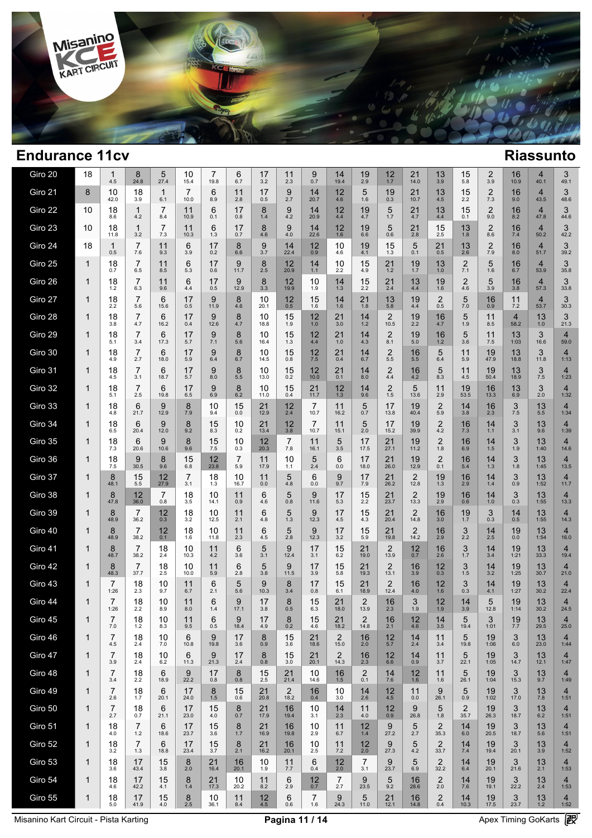

| Giro 20 | 18           | 1<br>4.5               | 8<br>24.8              | 5<br>27.4             | 10<br>15.4       | 7<br>19.8    | 6<br>6.7   | 17<br>3.2     | 11<br>2.3              | 9<br>0.7    | 14<br>19.4             | 19<br>2.9              | $12 \atop 1.7$         | 21<br>14.0                      | 13<br>3.9                      | 15<br>5.8              | $\overline{2}$<br>3.9   | 16<br>10.9             | $\overline{4}$<br>40.1 | 3<br>49.1              |  |
|---------|--------------|------------------------|------------------------|-----------------------|------------------|--------------|------------|---------------|------------------------|-------------|------------------------|------------------------|------------------------|---------------------------------|--------------------------------|------------------------|-------------------------|------------------------|------------------------|------------------------|--|
| Giro 21 | 8            | 10<br>42.0             | 18<br>3.9              | $\mathbf{1}$<br>6.1   | 7<br>10.0        | 6<br>8.9     | 11<br>2.8  | 17<br>0.5     | 9<br>2.7               | 14<br>20.7  | 12<br>4.6              | 5<br>1.6               | 19<br>0.3              | 21<br>10.7                      | 13<br>4.5                      | 15<br>2.2              | $\overline{2}$<br>$7.3$ | 16<br>9.0              | $\overline{4}$<br>43.5 | 3<br>48.6              |  |
| Giro 22 | 10           | 18<br>8.6              | $\mathbf{1}$<br>4.2    | $\overline{7}$<br>8.4 | 11<br>10.9       | 6<br>0.1     | 17<br>0.8  | 8<br>1.4      | 9<br>4.2               | 14<br>20.9  | 12<br>4.4              | 19<br>4.7              | 5<br>1.7               | 21<br>4.7                       | 13<br>4.4                      | 15<br>0.1              | $\overline{2}$<br>9.0   | 16<br>8.2              | $\overline{4}$<br>47.8 | 3<br>44.6              |  |
| Giro 23 | 10           | 18<br>11.8             | $\mathbf{1}$<br>3.2    | 7<br>7.3              | 11<br>10.3       | 6<br>1.3     | 17<br>0.7  | 8<br>4.6      | 9<br>4.0               | 14<br>22.6  | 12<br>1.6              | 19<br>6.6              | 5<br>0.6               | 21<br>2.8                       | 15<br>2.5                      | 13<br>1.8              | $\overline{2}$<br>8.6   | 16<br>7.4              | $\overline{4}$<br>50.2 | 3<br>42.2              |  |
| Giro 24 | 18           | $\mathbf{1}$<br>0.5    | $\overline{7}$<br>7.6  | 11<br>9.3             | 6<br>3.9         | 17<br>0.2    | 8<br>6.6   | 9<br>3.7      | 14<br>22.4             | 12<br>0.9   | 10<br>4.6              | 19<br>4.1              | 15<br>1.3              | 5<br>0.1                        | 21<br>0.5                      | 13<br>2.6              | $\overline{2}$<br>7.9   | 16<br>8.0              | $\overline{4}$<br>51.7 | 3<br>39.2              |  |
| Giro 25 | $\mathbf{1}$ | 18<br>0.7              | $\overline{7}$<br>6.5  | 11<br>8.5             | 6<br>5.3         | 17<br>0.6    | 9<br>11.7  | 8<br>2.5      | 12<br>20.9             | 14<br>$1.1$ | 10<br>2.2              | 15<br>4.9              | 21<br>1.2              | 19<br>1.7                       | 13<br>1.0                      | $\overline{2}$<br>7.1  | 5<br>1.6                | 16<br>6.7              | $\overline{4}$<br>53.9 | 3<br>35.8              |  |
| Giro 26 | 1            | 18<br>1.2              | $\overline{7}$<br>6.3  | 11<br>9.6             | 6<br>4.4         | 17<br>0.5    | 9<br>12.9  | 8<br>3.3      | 12<br>19.9             | 10<br>1.9   | 14<br>1.3              | 15<br>2.2              | 21<br>2.4              | 13<br>4.4                       | 19<br>1.6                      | $\overline{2}$<br>4.6  | 5<br>3.9                | 16<br>3.8              | $\overline{4}$<br>57.3 | 3<br>33.8              |  |
| Giro 27 | 1            | 18<br>2.2              | $\overline{7}$<br>5.6  | 6<br>15.6             | 17<br>0.5        | 9<br>11.9    | 8<br>4.6   | 10<br>20.1    | $12_{0.5}$             | 15<br>1.6   | 14<br>1.6              | 21<br>1.8              | $13 \n5.8$             | 19<br>4.4                       | $\overline{2}$<br>0.5          | 5<br>7.0               | 16<br>0.9               | 11<br>7.2              | $\overline{4}$<br>53.7 | 3<br>30.3              |  |
| Giro 28 | 1            | 18<br>3.8              | $\overline{7}$<br>4.7  | 6<br>16.2             | 17<br>0.4        | 9<br>12.6    | 8<br>4.7   | 10<br>18.8    | 15<br>1.9              | 12<br>1.0   | 21<br>3.0              | 14<br>1.2              | $\overline{2}$<br>10.5 | 19<br>2.2                       | 16<br>4.7                      | 5<br>1.9               | 11<br>8.5               | $\overline{4}$<br>58.2 | 13<br>1.0              | 3<br>21.3              |  |
| Giro 29 | 1            | 18<br>5.1              | $\overline{7}$<br>3.4  | 6<br>17.3             | 17<br>5.7        | 9<br>7.1     | 8<br>5.6   | 10<br>16.4    | 15<br>1.3              | 12<br>4.4   | 21<br>1.0              | 14<br>4.3              | $\overline{2}$<br>8.1  | 19<br>5.0                       | 16<br>1.2                      | 5<br>3.6               | 11<br>7.5               | 13<br>1:03             | 3<br>16.6              | $\overline{4}$<br>59.0 |  |
| Giro 30 | 1            | 18<br>4.9              | $\overline{7}$<br>2.7  | 6<br>18.0             | 17<br>5.9        | 9<br>6.4     | 8<br>6.7   | 10<br>14.5    | 15<br>0.8              | 12<br>7.5   | 21<br>0.4              | 14<br>6.7              | $\overline{2}$<br>5.5  | 16<br>5.5                       | 5<br>6.4                       | 11<br>5.9              | 19<br>47.9              | 13<br>18.8             | 3<br>11.8              | $\overline{4}$<br>1:13 |  |
| Giro 31 | 1            | 18<br>4.5              | $\overline{7}$<br>3.1  | 6<br>18.7             | 17<br>5.7        | 9<br>8.0     | 8<br>5.5   | 10<br>13.0    | 15<br>0.2              | 12<br>10.0  | 21<br>0.1              | 14<br>8.0              | $^{2}_{4.4}$           | 16<br>4.2                       | 5<br>8.3                       | 11<br>4.5              | 19<br>50.4              | 13<br>18.9             | 3<br>7.5               | $\overline{4}$<br>1:23 |  |
| Giro 32 | 1            | 18<br>5.1              | $\overline{7}$<br>2.5  | 6<br>19.8             | 17<br>6.5        | 9<br>6.9     | 8<br>6.2   | 10<br>11.0    | 15<br>0.4              | 21<br>11.7  | 12<br>1.3              | 14<br>9.6              | $\frac{2}{1.5}$        | 5<br>13.6                       | 11<br>2.9                      | 19<br>53.5             | 16<br>13.3              | 13<br>6.9              | 3<br>2.0               | $\overline{4}$<br>1:32 |  |
| Giro 33 | 1            | 18<br>4.8              | 6<br>21.7              | 9<br>12.9             | 8<br>7.9         | 10<br>9.4    | 15<br>0.0  | 21<br>12.9    | 12<br>2.4              | 7<br>10.7   | 11<br>16.2             | 5<br>0.7               | 17<br>13.8             | 19<br>40.4                      | $\overline{2}$<br>5.9          | 14<br>3.8              | 16<br>2.3               | 3<br>7.5               | 13<br>5.5              | $\overline{4}$<br>1:34 |  |
| Giro 34 | $\mathbf{1}$ | 18<br>6.5              | 6<br>20.4              | 9<br>12.0             | 8<br>9.2         | 15<br>8.3    | 10<br>0.2  | 21<br>13.4    | 12<br>3.8              | 7<br>10.7   | 11<br>15.1             | 5<br>2.0               | 17<br>15.2             | 19<br>39.9                      | $\overline{c}$<br>4.2          | 16<br>7.3              | 14<br>1.1               | 3<br>3.1               | 13<br>9.6              | $\overline{4}$<br>1:39 |  |
| Giro 35 | 1            | 18<br>7.3              | 6<br>20.6              | 9<br>10.6             | 8<br>9.6         | 15<br>7.5    | 10<br>0.3  | 12<br>20.3    | 7<br>7.8               | 11<br>16.1  | 5<br>3.5               | 17<br>17.5             | 21<br>27.1             | 19<br>11.2                      | $\overline{2}$<br>1.8          | 16<br>6.9              | 14<br>$1.5$             | 3<br>1.9               | 13<br>1:40             | $\overline{4}$<br>14.6 |  |
| Giro 36 | $\mathbf{1}$ | 18<br>7.5              | 9<br>30.5              | 8<br>9.6              | 15<br>6.8        | 12<br>23.8   | 7<br>5.9   | 11<br>17.9    | 10<br>1.1              | 5<br>2.4    | 6<br>0.0               | 17<br>18.0             | 21<br>26.0             | 19<br>12.9                      | $\overline{2}$<br>0.1          | 16<br>5.4              | 14<br>1.3               | 3<br>1.8               | 13<br>1:45             | $\overline{4}$<br>13.5 |  |
| Giro 37 | 1            | 8<br>48.1              | 15<br>5.5              | 12<br>27.9            | 7<br>3.1         | 18<br>1.3    | 10<br>16.7 | 11<br>0.0     | 5<br>4.8               | 6<br>0.0    | 9<br>9.7               | 17<br>7.9              | 21<br>26.2             | $\overline{2}$<br>12.8          | 19<br>1.3                      | 16<br>2.9              | 14<br>$1.4$             | 3<br>0.9               | 13<br>1:52             | $\overline{4}$<br>11.7 |  |
| Giro 38 | $\mathbf{1}$ | 8<br>47.8              | 12<br>36.0             | 7<br>0.8              | 18<br>3.5        | 10<br>14.1   | 11<br>0.9  | 6<br>4.6      | 5<br>0.8               | 9<br>11.6   | 17<br>5.3              | 15<br>2.2              | 21<br>23.7             | $\overline{\mathbf{c}}$<br>13.3 | 19<br>2.9                      | 16<br>0.6              | 14<br>1.0               | 3<br>0.3               | 13<br>1:55             | $\overline{4}$<br>13.3 |  |
| Giro 39 | 1            | 8<br>48.9              | 7<br>36.2              | 12<br>0.3             | $\frac{18}{3.2}$ | 10<br>12.5   | 11<br>2.1  | 6<br>4.8      | 5<br>1.3               | 9<br>12.3   | 17<br>4.5              | 15<br>4.3              | 21<br>20.4             | $\overline{2}$<br>14.8          | 16<br>3.0                      | 19<br>1.7              | 3<br>0.3                | 14<br>0.5              | 13<br>1:55             | $\overline{4}$<br>14.3 |  |
| Giro 40 | 1            | 8<br>48.9              | 7<br>38.2              | 12<br>0.1             | 18<br>1.6        | 10<br>11.8   | 11<br>2.3  | 6<br>4.5      | 5<br>2.8               | 9<br>12.3   | 17<br>3.2              | 15<br>5.9              | 21<br>19.8             | $\overline{2}$<br>14.2          | 16<br>2.9                      | 3<br>2.2               | 14<br>2.5               | 19<br>0.0              | 13<br>1:54             | $\overline{4}$<br>16.0 |  |
| Giro 41 | 1            | 8<br>48.7              | 7<br>38.2              | 18<br>2.4             | 10<br>10.3       | 11<br>4.2    | 6<br>3.6   | 5<br>3.1      | 9<br>12.4              | 17<br>3.1   | 15<br>6.2              | 21<br>19.0             | $\frac{2}{13.9}$       | $12_{0.7}$                      | 16<br>2.6                      | 3<br>1.7               | 14<br>3.4               | 19<br>1:21             | 13<br>33.3             | $\overline{4}$<br>19.4 |  |
| Giro 42 | 1            | 8<br>48.3              | $\overline{7}$<br>37.7 | 18<br>2.5             | 10<br>10.0       | 11<br>5.9    | 6<br>2.8   | 5<br>3.8      | 9<br>11.5              | 17<br>3.9   | 15<br>5.8              | 21<br>19.3             | $\frac{2}{13.1}$       | 16<br>3.9                       | 12<br>0.3                      | 3<br>1.5               | 14<br>3.2               | 19<br>1:25             | 13<br>30.7             | $\overline{4}$<br>21.0 |  |
| Giro 43 | 1            | $\overline{7}$<br>1:26 | 18<br>2.3              | 10<br>9.7             | 11<br>6.7        | 6<br>2.1     | 5<br>5.6   | 9<br>10.3     | 8<br>3.4               | 17<br>0.8   | 15<br>6.1              | 21<br>18.9             | $\frac{2}{12.4}$       | 16<br>4.0                       | 12<br>1.6                      | 3<br>0.3               | 14<br>4.1               | $19$ <sub>1:27</sub>   | $13 \choose 30.2$      | $\overline{4}$<br>22.4 |  |
| Giro 44 | 1            | $\overline{7}$<br>1:26 | 18<br>2.2              | 10<br>8.9             | 11<br>8.0        | 6<br>1.4     | 9<br>17.1  | 17<br>3.8     | 8<br>0.5               | 15<br>6.3   | 21<br>18.0             | $\overline{2}$<br>13.9 | 16<br>2.3              | 3<br>1.9                        | 12<br>1.9                      | 14<br>3.9              | 5<br>12.8               | 19<br>1:14             | 13<br>30.2             | $\overline{4}$<br>24.5 |  |
| Giro 45 | 1            | 7<br>7.0               | 18<br>1.2              | 10<br>8.3             | 11<br>9.5        | 6<br>$0.5\,$ | 9<br>18.4  | 17<br>4.9     | $_{0.2}^{8}$           | 15<br>4.6   | $21$ <sub>18.2</sub>   | 2<br>14.8              | $\frac{16}{2.1}$       | $^{12}_{4.6}$                   | $14 \over 3.5$                 | 5<br>19.4              | 3<br>1:01               | $^{19}_{7.7}$          | $\frac{13}{29.5}$      | 4<br>25.0              |  |
| Giro 46 | 1            | 7<br>4.5               | 18<br>2.4              | 10<br>$7.0\,$         | 6<br>10.8        | 9<br>19.8    | 17<br>3.6  | 8<br>0.9      | 15<br>3.6              | 21<br>18.6  | $\overline{2}$<br>15.0 | 16<br>2.0              | $12$<br>5.7            | 14<br>2.4                       | 11<br>3.4                      | 5<br>19.8              | 19<br>1:06              | 3<br>6.0               | 13<br>23.0             | $\overline{4}$<br>1:44 |  |
| Giro 47 | $\mathbf{1}$ | 7<br>3.9               | 18<br>2.4              | 10<br>6.2             | 6<br>11.3        | 9<br>21.3    | 17<br>2.4  | 8<br>0.8      | 15<br>3.0              | 21<br>20.1  | 2<br>14.3              | 16<br>2.3              | 12<br>6.6              | 14<br>0.9                       | 11<br>3.7                      | 5<br>22.1              | 19<br>1:05              | 3<br>14.7              | 13<br>12.1             | 4<br>1:47              |  |
| Giro 48 | 1            | 7<br>3.4               | 18<br>2.2              | 6<br>18.9             | 9<br>22.2        | 17<br>0.8    | 8<br>0.8   | 15<br>$2.5\,$ | 21<br>21.4             | 10<br>14.6  | 16<br>1.5              | $^{2}_{0.1}$           | $\frac{14}{7.6}$       | 12<br>1.6                       | 11<br>1.6                      | 5<br>26.1              | 19<br>1:04              | 3<br>15.3              | 13<br>9.7              | $\overline{4}$<br>1:49 |  |
| Giro 49 | $\mathbf{1}$ | $\overline{7}$<br>2.6  | 18<br>1.7              | 6<br>20.1             | 17<br>24.0       | 8<br>$1.5$   | 15<br>0.6  | 21<br>20.8    | $\overline{2}$<br>18.2 | 16<br>0.4   | 10<br>3.0              | $14$<br>2.6            | $12 \n4.5$             | 11<br>0.0                       | 9<br>26.1                      | 5<br>0.9               | 19<br>1:02              | 3<br>17.0              | 13<br>7.8              | 4<br>1:51              |  |
| Giro 50 | $\mathbf{1}$ | $\overline{7}$<br>2.7  | 18<br>0.7              | 6<br>21.1             | 17<br>23.0       | 15<br>4.0    | 8<br>0.7   | 21<br>17.9    | 16<br>19.4             | 10<br>3.1   | 14<br>2.3              | 11<br>4.0              | $^{12}_{0.9}$          | 9<br>26.8                       | 5<br>1.8                       | $\overline{2}$<br>35.7 | 19<br>26.3              | 3<br>18.7              | 13<br>6.2              | 4<br>1:51              |  |
| Giro 51 | $\mathbf{1}$ | 18<br>4.0              | 7<br>1.2               | 6<br>18.6             | 17<br>23.7       | 15<br>3.6    | 8<br>1.7   | 21<br>16.9    | 16<br>19.8             | 10<br>2.9   | 11<br>6.7              | 12<br>1.4              | 9<br>27.2              | 5<br>2.7                        | $\overline{2}$<br>35.3         | 14<br>6.0              | 19<br>20.5              | 3<br>18.7              | 13<br>5.6              | $\overline{4}$<br>1:51 |  |
| Giro 52 | $\mathbf{1}$ | 18<br>3.2              | $\overline{7}$<br>1.3  | 6<br>18.8             | 17<br>23.4       | 15<br>3.7    | 8<br>2.1   | 21<br>16.2    | 16<br>20.1             | 10<br>2.5   | 11<br>7.2              | 12<br>2.0              | 9<br>27.3              | 5<br>4.2                        | $\overline{2}$<br>33.7         | 14<br>7.4              | 19<br>19.4              | 3<br>20.1              | 13<br>3.9              | $\overline{4}$<br>1:52 |  |
| Giro 53 | $\mathbf{1}$ | 18<br>3.6              | 17<br>43.4             | 15<br>3.8             | 8<br>2.0         | 21<br>16.4   | 16<br>20.1 | 10<br>1.9     | 11<br>7.7              | 6<br>0.4    | 12<br>2.0              | 7<br>3.1               | 9<br>23.7              | 5<br>6.9                        | $\overline{2}$<br>32.2         | 14<br>6.4              | 19<br>20.1              | 3<br>21.6              | 13<br>2.1              | 4<br>1:53              |  |
| Giro 54 | 1            | 18<br>4.6              | 17<br>42.2             | 15<br>4.1             | 8<br>1.4         | 21<br>17.3   | 10<br>20.2 | 11<br>8.2     | 6<br>2.9               | 12<br>0.7   | $\overline{7}$<br>2.7  | 9<br>23.5              | 5<br>9.2               | 16<br>28.6                      | $\overline{2}$<br>2.0          | 14<br>7.6              | 19<br>19.1              | 3<br>22.2              | 13<br>2.4              | $\overline{4}$<br>1:53 |  |
| Giro 55 | 1            | 18<br>5.0              | 17<br>41.9             | 15<br>4.0             | 8<br>2.5         | 10<br>36.1   | 11<br>8.4  | 12<br>$4.5\,$ | 6<br>0.6               | 7<br>$1.6$  | 9<br>24.3              | 5<br>11.0              | 21<br>12.1             | 16<br>14.8                      | $\overline{\mathbf{c}}$<br>0.4 | 14<br>10.3             | 19<br>17.5              | 3<br>23.7              | 13<br>1.2              | $\overline{4}$<br>1:52 |  |
|         |              |                        |                        |                       |                  |              |            |               |                        |             |                        |                        |                        |                                 |                                |                        |                         |                        |                        |                        |  |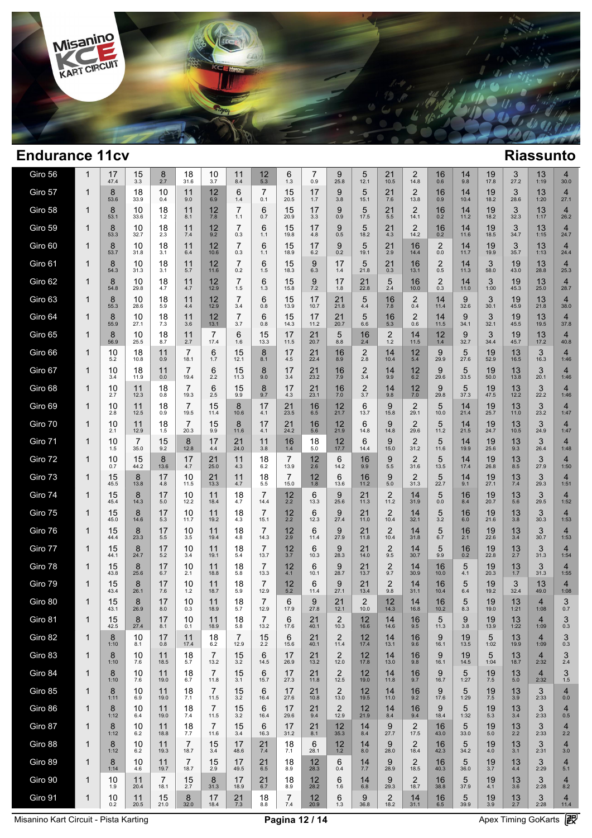

| Giro 56 | 1            | 17<br>47.4 | 15<br>3.3              | 8<br>2.7               | 18<br>31.6             | 10<br>3.7              | 11<br>8.4              | 12<br>5.3              | 6<br>1.3   | 7<br>0.9         | 9<br>25.8              | 5<br>12.1               | 21<br>10.5                     | 2<br>14.8              | 16<br>0.6                          | 14<br>9.8  | 19<br>17.8             | 3<br>27.2        | 13<br>1:19             | 4<br>30.0              |  |
|---------|--------------|------------|------------------------|------------------------|------------------------|------------------------|------------------------|------------------------|------------|------------------|------------------------|-------------------------|--------------------------------|------------------------|------------------------------------|------------|------------------------|------------------|------------------------|------------------------|--|
| Giro 57 | 1            | 8<br>53.6  | 18<br>33.9             | 10<br>0.4              | 11<br>9.0              | 12<br>6.9              | 6<br>1.4               | 7<br>0.1               | 15<br>20.5 | 17<br>1.7        | 9<br>3.8               | 5<br>15.1               | 21<br>7.6                      | $\overline{2}$<br>13.8 | 16<br>0.9                          | 14<br>10.4 | 19<br>18.2             | 3<br>28.6        | 13<br>1:20             | $\overline{4}$<br>27.1 |  |
| Giro 58 | 1            | 8<br>53.1  | 10<br>33.6             | 18<br>1.2              | 11<br>8.1              | 12<br>7.8              | $\overline{7}$<br>1.1  | 6<br>0.7               | 15<br>20.9 | 17<br>3.3        | 9<br>0.9               | 5<br>17.5               | 21<br>5.5                      | $\overline{2}$<br>14.1 | 16<br>0.2                          | 14<br>11.2 | 19<br>18.2             | 3<br>32.3        | 13<br>1:17             | $\overline{4}$<br>26.2 |  |
| Giro 59 | 1            | 8<br>53.3  | 10<br>32.7             | 18<br>2.3              | 11<br>7.4              | 12<br>9.2              | $\overline{7}$<br>0.3  | 6<br>1.1               | 15<br>19.8 | 17<br>4.8        | 9<br>0.5               | 5<br>18.2               | 21<br>4.3                      | 2<br>14.2              | 16<br>0.2                          | 14<br>11.6 | 19<br>18.5             | 3<br>34.7        | 13<br>1:15             | $\overline{4}$<br>24.7 |  |
| Giro 60 | 1            | 8<br>53.7  | 10<br>31.8             | 18<br>3.1              | 11<br>$6.4\,$          | 12<br>10.6             | 7<br>0.3               | 6<br>1.1               | 15<br>18.9 | 17<br>6.2        | 9<br>0.2               | 5<br>19.1               | 21<br>2.9                      | 16<br>14.4             | $\overline{\mathbf{c}}$<br>$0.0\,$ | 14<br>11.7 | 19<br>19.9             | 3<br>35.7        | 13<br>1:13             | $\overline{4}$<br>24.4 |  |
| Giro 61 | 1            | 8<br>54.3  | 10<br>31.3             | 18<br>3.1              | 11<br>5.7              | 12<br>11.6             | $\overline{7}$<br>0.2  | 6<br>1.5               | 15<br>18.3 | 9<br>6.3         | 17<br>1.4              | 5<br>21.8               | 21<br>0.3                      | 16<br>13.1             | $\overline{c}$<br>0.5              | 14<br>11.3 | 3<br>58.0              | 19<br>43.0       | 13<br>28.8             | $\overline{4}$<br>25.3 |  |
| Giro 62 | 1            | 8<br>54.8  | 10<br>29.8             | 18<br>4.7              | 11<br>4.7              | 12<br>12.9             | $\overline{7}$<br>1.5  | 6<br>1.3               | 15<br>15.8 | 9<br>7.2         | 17<br>1.8              | 21<br>22.8              | 5<br>2.4                       | 16<br>10.0             | $\overline{c}$<br>0.3              | 14<br>11.0 | 3<br>1:00              | 19<br>45.3       | 13<br>25.0             | $\overline{4}$<br>28.7 |  |
| Giro 63 | 1            | 8<br>55.3  | 10<br>28.6             | 18<br>5.9              | 11<br>4.4              | 12<br>12.9             | $\overline{7}$<br>3.4  | 6<br>0.8               | 15<br>13.9 | 17<br>10.7       | 21<br>21.8             | 5<br>4.4                | 16<br>7.8                      | $\overline{2}$<br>0.4  | 14<br>11.4                         | 9<br>32.6  | 3<br>30.1              | 19<br>45.9       | 13<br>21.8             | $\overline{4}$<br>38.0 |  |
| Giro 64 | 1            | 8<br>55.9  | 10<br>27.1             | 18<br>7.3              | 11<br>3.6              | 12<br>13.1             | $\overline{7}$<br>3.7  | 6<br>0.8               | 15<br>14.3 | 17<br>11.2       | 21<br>20.7             | 5<br>6.6                | $16$ <sub>5.3</sub>            | $\overline{2}$<br>0.6  | 14<br>11.5                         | 9<br>34.1  | 3<br>32.1              | 19<br>45.5       | 13<br>19.5             | 4<br>37.8              |  |
| Giro 65 | 1            | 8<br>56.9  | 10<br>25.5             | 18<br>8.7              | 11<br>2.7              | $\overline{7}$<br>17.4 | 6<br>1.6               | 15<br>13.3             | 17<br>11.5 | 21<br>20.7       | 5<br>8.8               | 16<br>2.4               | $\overline{\mathbf{c}}$<br>1.2 | 14<br>11.5             | 12<br>1.4                          | 9<br>32.7  | 3<br>34.4              | 19<br>45.7       | 13<br>17.2             | 4<br>40.8              |  |
| Giro 66 | 1            | 10<br>5.2  | 18<br>10.8             | 11<br>0.9              | $\overline{7}$<br>18.1 | 6<br>1.7               | 15<br>12.1             | 8<br>8.1               | 17<br>4.5  | 21<br>22.4       | 16<br>8.9              | $\overline{2}$<br>2.8   | 14<br>10.4                     | 12<br>5.4              | 9<br>29.9                          | 5<br>27.6  | 19<br>52.9             | 13<br>16.5       | 3<br>16.3              | $\overline{4}$<br>1:46 |  |
| Giro 67 | 1            | 10<br>3.4  | 18<br>11.9             | 11<br>0.0              | 7<br>19.4              | 6<br>2.2               | 15<br>11.3             | 8<br>9.0               | 17<br>3.4  | 21<br>23.2       | $\frac{16}{7.9}$       | $\overline{c}$<br>3.4   | 14<br>9.9                      | 12<br>6.2              | 9<br>29.6                          | 5<br>33.5  | 19<br>50.0             | 13<br>13.8       | 3<br>20.1              | $\overline{4}$<br>1:46 |  |
| Giro 68 | 1            | 10<br>2.7  | 11<br>12.3             | 18<br>0.8              | $\overline{7}$<br>19.3 | 6<br>2.5               | 15<br>9.9              | 8<br>9.7               | 17<br>4.3  | 21<br>23.1       | 16<br>7.0              | $\boldsymbol{2}$<br>3.7 | 14<br>9.8                      | 12<br>7.0              | 9<br>29.8                          | 5<br>37.3  | 19<br>47.5             | 13<br>12.2       | 3<br>22.2              | $\overline{4}$<br>1:46 |  |
| Giro 69 | 1            | 10<br>2.8  | 11<br>12.5             | 18<br>0.9              | 7<br>19.5              | 15<br>11.4             | 8<br>10.6              | 17<br>4.1              | 21<br>23.5 | 16<br>6.5        | 12<br>21.7             | 6<br>13.7               | 9<br>15.8                      | $\overline{2}$<br>29.1 | 5<br>10.0                          | 14<br>21.4 | 19<br>25.7             | 13<br>11.0       | 3<br>23.2              | $\overline{4}$<br>1:47 |  |
| Giro 70 | 1            | 10<br>2.1  | 11<br>12.9             | 18<br>1.5              | 7<br>20.3              | 15<br>9.9              | 8<br>11.6              | 17<br>4.1              | 21<br>24.2 | 16<br>5.6        | 12<br>21.9             | 6<br>14.8               | 9<br>14.8                      | $\overline{2}$<br>29.6 | 5<br>11.2                          | 14<br>21.5 | 19<br>24.7             | 13<br>10.5       | 3<br>24.9              | $\overline{4}$<br>1:47 |  |
| Giro 71 | 1            | 10<br>1.5  | $\overline{7}$<br>35.0 | 15<br>9.2              | 8<br>12.8              | 17<br>4.4              | 21<br>24.0             | 11<br>3.8              | 16<br>1.4  | 18<br>5.0        | 12<br>17.7             | 6<br>14.4               | 9<br>15.0                      | $\overline{2}$<br>31.2 | 5<br>11.6                          | 14<br>19.9 | 19<br>25.6             | $13 \n9.3$       | 3<br>26.4              | $\overline{4}$<br>1:48 |  |
| Giro 72 | 1            | 10<br>0.7  | 15<br>44.2             | 8<br>13.6              | 17<br>4.7              | 21<br>25.0             | 11<br>4.3              | 18<br>6.2              | 7<br>13.9  | $\frac{12}{2.6}$ | 6<br>14.2              | 16<br>9.9               | 9<br>5.5                       | $\overline{2}$<br>31.6 | 5<br>13.5                          | 14<br>17.4 | 19<br>26.8             | $13 \n8.5$       | 3<br>27.9              | $\overline{4}$<br>1:50 |  |
| Giro 73 | 1            | 15<br>45.5 | 8<br>13.8              | 17<br>4.8              | 10<br>11.5             | 21<br>13.3             | 11<br>4.7              | 18<br>5.5              | 7<br>15.0  | 12<br>1.8        | 6<br>13.6              | 16<br>11.2              | 9<br>$5.0\,$                   | $\overline{2}$<br>31.3 | 5<br>22.7                          | 14<br>9.1  | 19<br>27.1             | 13<br>7.4        | 3<br>29.3              | $\overline{4}$<br>1:51 |  |
| Giro 74 | 1            | 15<br>45.4 | 8<br>14.3              | 17<br>$5.0$            | 10<br>12.2             | 11<br>18.4             | 18<br>4.7              | 7<br>14.4              | 12<br>2.2  | 6<br>13.3        | 9<br>25.6              | 21<br>11.3              | $^{2}_{11.2}$                  | 14<br>31.9             | 5<br>$0.0\,$                       | 16<br>8.4  | 19<br>20.7             | 13<br>5.6        | 3<br>29.5              | 4<br>1:52              |  |
| Giro 75 | 1            | 15<br>45.0 | 8<br>14.6              | 17<br>5.3              | 10<br>11.7             | 11<br>19.2             | 18<br>4.3              | 7<br>15.1              | 12<br>2.2  | 6<br>12.3        | 9<br>27.4              | 21<br>11.0              | $\frac{2}{10.4}$               | 14<br>32.1             | $\frac{5}{3.2}$                    | 16<br>6.0  | 19<br>21.6             | 13<br>3.8        | 30.3                   | $\overline{4}$<br>1:53 |  |
| Giro 76 | 1            | 15<br>44.4 | 8<br>23.3              | 17<br>5.5              | 10<br>3.5              | 11<br>19.4             | 18<br>4.8              | 7<br>14.3              | 12<br>2.9  | 6<br>11.4        | 9<br>27.9              | 21<br>11.8              | $\overline{2}$<br>10.4         | 14<br>31.8             | 5<br>6.7                           | 16<br>2.1  | 19<br>22.6             | 13<br>3.4        | 3<br>30.7              | $\overline{4}$<br>1:53 |  |
| Giro 77 | 1            | 15<br>44.1 | 8<br>24.7              | 17<br>5.2              | 10<br>3.4              | 11<br>19.1             | 18<br>5.4              | 7<br>13.7              | 12<br>3.7  | 6<br>10.3        | 9<br>28.3              | 21<br>14.0              | $^{2}_{9.5}$                   | 14<br>30.7             | 5<br>9.9                           | 16<br>0.2  | 19<br>22.8             | $13 \atop 2.7$   | $3^{3}_{31.3}$         | 4<br>1:54              |  |
| Giro 78 | 1            | 15<br>43.8 | 8<br>25.6              | 17<br>6.7              | 10<br>2.1              | 11<br>18.8             | 18<br>5.8              | 7<br>13.3              | 12<br>4.1  | 6<br>10.1        | 9<br>28.7              | 21<br>13.7              | $\overline{\mathbf{c}}$<br>9.7 | 14<br>30.9             | 16<br>10.0                         | 5<br>4.1   | 19<br>20.3             | $13 \atop 1.7$   | 3<br>31.3              | $\overline{4}$<br>1:55 |  |
| Giro 79 | 1            | 15<br>43.4 | 8<br>26.1              | 17<br>7.6              | 10<br>$1.2$            | 11<br>18.7             | 18<br>5.9              | 7<br>12.9              | 12<br>5.2  | 6<br>11.4        | $\frac{9}{27.1}$       | 21<br>13.4              | $^{2}_{9.8}$                   | 14<br>31.1             | 16<br>10.4                         | 5<br>6.4   | 19<br>19.2             | 32.4             | 13<br>49.0             | $\overline{4}$<br>1:08 |  |
| Giro 80 | 1            | 15<br>43.1 | 8<br>26.9              | 17<br>8.0              | 10<br>0.3              | 11<br>18.9             | 18<br>5.7              | $\overline{7}$<br>12.9 | 6<br>17.9  | 9<br>27.8        | 21<br>12.1             | $\overline{2}$<br>10.0  | 12<br>14.3                     | 14<br>16.8             | 16<br>10.2                         | 5<br>8.3   | 19<br>19.0             | 13<br>1:21       | $\overline{4}$<br>1:08 | 3<br>0.7               |  |
| Giro 81 | 1            | 15<br>42.5 | 8<br>27.4              | 17<br>8.1              | 10<br>0.1              | 11<br>18.9             | 18<br>5.8              | 13.2                   | 6<br>17.6  | 21<br>40.1       | $\frac{2}{10.3}$       | 12<br>16.6              | 14<br>14.6                     | 16<br>9.5              | 5<br>11.3                          | 9<br>3.8   | 19<br>13.9             | $13 \atop 1:22$  | $\overline{4}$<br>1:09 | 3<br>0.3               |  |
| Giro 82 | $\mathbf{1}$ | 8<br>1:10  | 10<br>8.1              | 17<br>0.8              | 11<br>17.4             | 18<br>6.2              | $\overline{7}$<br>12.9 | $15 \atop 2.2$         | 6<br>15.6  | 21<br>40.1       | $\overline{c}$<br>11.4 | $12$<br>$17.4$          | 14<br>13.1                     | 16<br>9.6              | $\frac{9}{16.1}$                   | 19<br>13.5 | $\frac{5}{1:02}$       | $13 \over 19.9$  | $\overline{4}$<br>1:09 | 3<br>0.3               |  |
| Giro 83 | $\mathbf{1}$ | 8<br>1:10  | 10<br>7.6              | 11<br>18.5             | 18<br>5.7              | 7<br>13.2              | 15<br>3.2              | 6<br>14.5              | 17<br>26.9 | 21<br>13.2       | $\overline{2}$<br>12.0 | 12<br>17.8              | 14<br>13.0                     | 16<br>9.8              | 9<br>16.1                          | 19<br>14.5 | 5<br>1:04              | 13<br>18.7       | $\overline{4}$<br>2:32 | 3<br>2.4               |  |
| Giro 84 | $\mathbf 1$  | 8<br>1:10  | 10<br>7.6              | 11<br>19.0             | 18<br>6.7              | $\overline{7}$<br>11.8 | 15<br>3.1              | 6<br>15.7              | 17<br>27.3 | 21<br>11.8       | $\overline{2}$<br>12.5 | 12<br>19.0              | $14 \over 11.8$                | 16<br>9.7              | 9<br>16.7                          | 5<br>1:27  | 19<br>7.5              | $13 \n5.0$       | 4<br>2:32              | 3<br>1.5               |  |
| Giro 85 | $\mathbf{1}$ | 8<br>1:11  | 10<br>6.9              | 11<br>19.0             | 18<br>7.1              | $\overline{7}$<br>11.5 | 15<br>3.2              | 6<br>16.4              | 17<br>27.6 | 21<br>10.8       | 2<br>13.0              | 12<br>19.5              | 14<br>11.0                     | 16<br>9.2              | 9<br>17.6                          | 5<br>1:29  | 19<br>7.5              | 13<br>3.9        | 3<br>2:33              | $\overline{4}$<br>0.0  |  |
| Giro 86 | $\mathbf{1}$ | 8<br>1:12  | 10<br>6.4              | 11<br>19.0             | 18<br>7.4              | $\overline{7}$<br>11.5 | 15<br>3.2              | 6<br>16.4              | 17<br>29.6 | 21<br>9.4        | 2<br>12.9              | 12<br>21.9              | $14 \n8.4$                     | 16<br>9.4              | 9<br>18.4                          | 5<br>1:32  | 19<br>$5.\overline{3}$ | $13 \choose 3.4$ | 3<br>2:33              | 4<br>0.5               |  |
| Giro 87 | $\mathbf{1}$ | 8<br>1:12  | 10<br>6.2              | 11<br>18.8             | 18<br>7.7              | $\overline{7}$<br>11.6 | 15<br>3.4              | 6<br>16.3              | 17<br>31.2 | 21<br>8.1        | 12<br>35.3             | 14<br>8.4               | 9<br>27.7                      | $\overline{2}$<br>17.5 | 16<br>43.0                         | 5<br>33.0  | 19<br>5.0              | 13<br>$2.2\,$    | 3<br>2:33              | 4<br>2.2               |  |
| Giro 88 | $\mathbf{1}$ | 8<br>1:12  | 10<br>6.2              | 11<br>19.3             | 7<br>18.7              | 15<br>3.4              | 17<br>48.6             | 21<br>$7.4$            | 18<br>7.1  | 6<br>28.1        | 12<br>1.2              | 14<br>8.0               | 9<br>28.0                      | $\overline{2}$<br>18.4 | 16<br>42.3                         | 5<br>34.2  | 19<br>4.0              | 13<br>3.1        | 3<br>2:31              | 4<br>3.0               |  |
| Giro 89 | $\mathbf{1}$ | 8<br>1:14  | 10<br>4.6              | 11<br>19.7             | 7<br>18.7              | 15<br>2.9              | 17<br>49.5             | 21<br>6.5              | 18<br>8.9  | 12<br>28.3       | 6<br>0.4               | 14<br>7.7               | 9<br>28.9                      | 2<br>18.5              | 16<br>40.3                         | 5<br>36.0  | 19<br>3.7              | 13<br>4.4        | 3<br>2:29              | 4<br>5.1               |  |
| Giro 90 | $\mathbf{1}$ | 10<br>1.9  | 11<br>20.4             | $\overline{7}$<br>18.1 | 15<br>2.7              | 8<br>31.3              | 17<br>18.9             | 21<br>6.7              | 18<br>8.9  | 12<br>28.2       | 6<br>1.6               | 14<br>6.8               | 9<br>29.3                      | $\overline{2}$<br>18.7 | 16<br>38.8                         | 5<br>37.9  | 19<br>4.1              | 13<br>3.6        | 3<br>2:28              | $\overline{4}$<br>8.2  |  |
| Giro 91 | $\mathbf{1}$ | 10<br>0.2  | 11<br>20.5             | 15<br>21.0             | 8<br>32.0              | 17<br>18.4             | 21<br>$7.3$            | 18<br>8.8              | 7<br>7.4   | 12<br>20.9       | 6<br>$1.3$             | 9<br>36.8               | $\overline{2}$<br>18.2         | 14<br>31.1             | 16<br>6.5                          | 5<br>39.9  | 19<br>3.9              | 13<br>2.7        | 3<br>2:28              | 4<br>11.4              |  |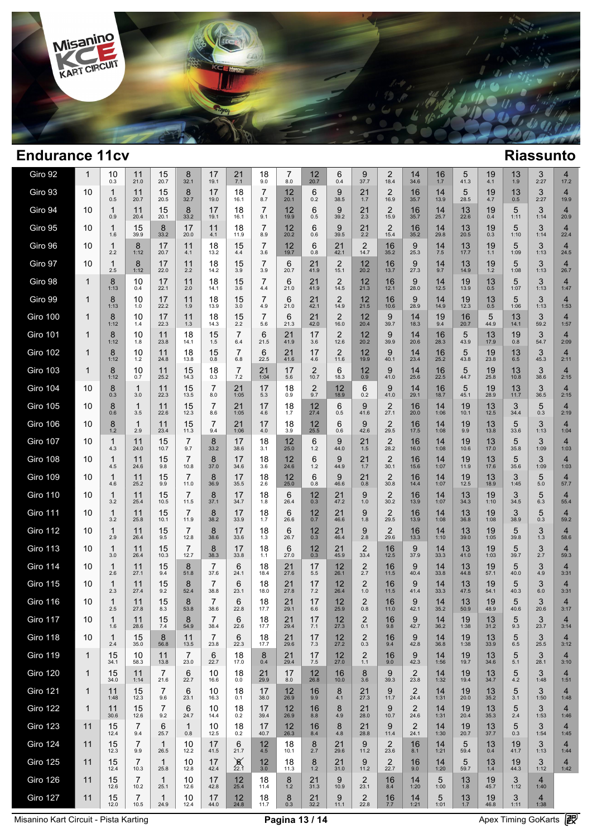

| Giro 92         | 1            | 10<br>0.3           | 11<br>21.0             | 15<br>20.7             | 8<br>32.1              | 17<br>19.1             | 21<br>7.1             | 18<br>9.0             | 7<br>8.0        | 12<br>20.7             | 6<br>0.4               | 9<br>37.7               | 2<br>18.4              | 14<br>34.6             | 16<br>1.7      | 5<br>41.3  | 19<br>4.1              | 13<br>1.9       | 3<br>2:27              | 4<br>17.2              |  |
|-----------------|--------------|---------------------|------------------------|------------------------|------------------------|------------------------|-----------------------|-----------------------|-----------------|------------------------|------------------------|-------------------------|------------------------|------------------------|----------------|------------|------------------------|-----------------|------------------------|------------------------|--|
| Giro 93         | 10           | 1<br>0.5            | 11<br>20.7             | 15<br>20.5             | 8<br>32.7              | 17<br>19.0             | 18<br>16.1            | $\overline{7}$<br>8.7 | $12$<br>$20.1$  | 6<br>0.2               | 9<br>38.5              | 21<br>1.7               | $\overline{2}$<br>16.9 | 16<br>35.7             | 14<br>13.9     | 5<br>28.5  | 19<br>4.7              | $13_{0.5}$      | 3<br>2:27              | $\overline{4}$<br>19.9 |  |
| Giro 94         | 10           | $\mathbf{1}$<br>0.9 | 11<br>20.4             | 15<br>20.1             | 8<br>33.2              | 17<br>19.1             | 18<br>16.1            | $\overline{7}$<br>9.1 | 12<br>19.9      | 6<br>0.5               | 9<br>39.2              | 21<br>2.3               | $\overline{2}$<br>15.9 | 16<br>35.7             | 14<br>25.7     | 13<br>22.6 | 19<br>0.4              | 5<br>1:11       | 3<br>1:14              | $\overline{4}$<br>20.9 |  |
| Giro 95         | 10           | $\mathbf{1}$<br>1.6 | 15<br>39.9             | 8<br>33.2              | 17<br>20.0             | 11<br>4.1              | 18<br>11.9            | 7<br>8.9              | 12<br>20.2      | 6<br>0.6               | 9<br>39.5              | 21<br>2.2               | $\overline{2}$<br>15.4 | 16<br>35.2             | 14<br>29.8     | 13<br>20.5 | 19<br>0.3              | 5<br>1:10       | 3<br>1:14              | $\overline{4}$<br>22.4 |  |
| Giro 96         | 10           | $\mathbf{1}$<br>2.2 | 8<br>1:12              | 17<br>20.7             | 11<br>4.1              | 18<br>13.2             | 15<br>4.4             | $\overline{7}$<br>3.6 | 12<br>19.7      | 6<br>0.8               | 21<br>42.1             | $\overline{2}$<br>14.7  | 16<br>35.2             | 9<br>25.3              | $14 \over 7.5$ | 13<br>17.7 | 19<br>1.1              | 5<br>1:09       | 3<br>1:13              | $\overline{4}$<br>24.5 |  |
| Giro 97         | 10           | $\mathbf{1}$<br>2.5 | 8<br>1:12              | 17<br>22.0             | 11<br>2.2              | 18<br>14.2             | 15<br>3.9             | $\overline{7}$<br>3.9 | 6<br>20.7       | 21<br>41.9             | $\overline{2}$<br>15.1 | 12<br>20.2              | 16<br>13.7             | 9<br>27.3              | 14<br>9.7      | 13<br>14.9 | 19<br>$1.\overline{2}$ | 5<br>1:08       | 3<br>1:13              | $\overline{4}$<br>26.7 |  |
| Giro 98         | 1            | 8<br>1:13           | 10<br>0.4              | 17<br>22.1             | 11<br>2.0              | 18<br>14.1             | 15<br>3.6             | 7<br>4.4              | 6<br>21.0       | 21<br>41.9             | $\overline{2}$<br>14.5 | 12<br>21.3              | 16<br>12.1             | 9<br>28.0              | 14<br>12.5     | 19<br>13.9 | 13<br>0.5              | 5<br>1:07       | 3<br>1:13              | 4<br>1:47              |  |
| Giro 99         | 1            | 8<br>1:13           | 10<br>1.0              | 17<br>22.2             | 11<br>1.9              | 18<br>13.9             | 15<br>3.0             | $\overline{7}$<br>4.9 | 6<br>21.0       | 21<br>42.1             | $\overline{2}$<br>14.9 | 12<br>21.5              | 16<br>10.6             | 9<br>28.9              | 14<br>14.9     | 19<br>12.3 | 13<br>0.5              | 5<br>1:06       | 3<br>1:13              | $\overline{4}$<br>1:53 |  |
| Giro 100        | 1            | 8<br>1:12           | 10<br>1.4              | 17<br>22.3             | 11<br>1.3              | 18<br>14.3             | 15<br>2.2             | $\overline{7}$<br>5.6 | 6<br>21.3       | 21<br>42.0             | $\overline{2}$<br>16.0 | 12<br>20.4              | 9<br>39.7              | 14<br>18.3             | 19<br>9.4      | 16<br>20.7 | 5<br>44.9              | 13<br>14.1      | 3<br>59.2              | 4<br>1:57              |  |
| <b>Giro 101</b> | 1            | 8<br>1:12           | 10<br>1.8              | 11<br>23.8             | 18<br>14.1             | 15<br>1.5              | 7<br>6.4              | 6<br>21.5             | 21<br>41.9      | 17<br>3.6              | $\overline{2}$<br>12.6 | 12<br>20.2              | 9<br>39.9              | 14<br>20.6             | 16<br>28.3     | 5<br>43.9  | 13<br>17.9             | 19<br>0.8       | 3<br>54.7              | $\overline{4}$<br>2:09 |  |
| <b>Giro 102</b> | 1            | 8<br>1:12           | 10<br>1.2              | 11<br>24.8             | 18<br>13.8             | 15<br>0.8              | $\overline{7}$<br>6.8 | 6<br>22.5             | 21<br>41.6      | 17<br>4.6              | $\overline{2}$<br>11.6 | 12<br>19.9              | 9<br>40.1              | 14<br>23.4             | 16<br>25.2     | 5<br>43.8  | 19<br>23.8             | 13<br>6.5       | 3<br>45.3              | $\overline{4}$<br>2:11 |  |
| <b>Giro 103</b> | 1            | 8<br>1:12           | 10<br>0.7              | 11<br>25.2             | 15<br>14.3             | 18<br>0.3              | $\overline{7}$<br>7.2 | 21<br>1:04            | 17<br>5.6       | $\overline{2}$<br>10.7 | 6<br>18.3              | 12<br>0.9               | 9<br>41.0              | 14<br>25.6             | 16<br>22.5     | 5<br>44.7  | 19<br>25.8             | 13<br>10.8      | 3<br>38.6              | $\overline{4}$<br>2:15 |  |
| <b>Giro 104</b> | 10           | 8<br>0.3            | $\mathbf{1}$<br>3.0    | 11<br>22.3             | 15<br>13.5             | 7<br>8.0               | 21<br>1:05            | 17<br>5.3             | 18<br>0.9       | 2<br>9.7               | 12<br>18.9             | 6<br>0.2                | 9<br>41.0              | 14<br>29.1             | 16<br>18.7     | 5<br>45.1  | 19<br>28.9             | 13<br>11.7      | 3<br>36.5              | $\overline{4}$<br>2:15 |  |
| <b>Giro 105</b> | 10           | 8<br>0.6            | $\mathbf{1}$<br>3.5    | 11<br>22.6             | 15<br>12.3             | $\overline{7}$<br>8.6  | 21<br>1:05            | 17<br>4.6             | 18<br>1.7       | 12<br>27.4             | 6<br>0.5               | 9<br>41.6               | 2<br>27.1              | 16<br>20.0             | 14<br>1:06     | 19<br>10.1 | 13<br>12.5             | 3<br>34.4       | 5<br>0.3               | $\overline{4}$<br>2:19 |  |
| Giro 106        | 10           | 8<br>$1.2$          | $\mathbf{1}$<br>2.9    | 11<br>23.4             | 15<br>11.3             | 7<br>9.4               | 21<br>1:06            | 17<br>4.0             | 18<br>3.9       | 12<br>25.5             | 6<br>0.6               | 9<br>42.6               | $\overline{2}$<br>29.5 | 16<br>17.5             | 14<br>1:08     | 19<br>9.9  | 13<br>13.8             | 5<br>33.6       | 3<br>1:13              | $\overline{4}$<br>1:04 |  |
| <b>Giro 107</b> | 10           | $\mathbf{1}$<br>4.3 | 11<br>24.0             | 15<br>10.7             | 7<br>9.7               | 8<br>33.2              | 17<br>38.6            | 18<br>3.1             | $12 \over 25.0$ | 6<br>1.2               | 9<br>44.0              | 21<br>1.5               | $\overline{2}$<br>28.2 | 16<br>16.0             | 14<br>1:08     | 19<br>10.6 | 13<br>17.0             | 5<br>35.8       | 3<br>1:09              | $\overline{4}$<br>1:03 |  |
| Giro 108        | 10           | $\mathbf{1}$<br>4.5 | 11<br>24.6             | 15<br>9.8              | 7<br>10.8              | 8<br>37.0              | 17<br>34.6            | 18<br>3.6             | 12<br>24.6      | 6<br>1.2               | 9<br>44.9              | 21<br>1.7               | $\overline{2}$<br>30.1 | 16<br>15.6             | 14<br>1:07     | 19<br>11.9 | 13<br>17.6             | 5<br>35.6       | 3<br>1:09              | $\overline{4}$<br>1:03 |  |
| Giro 109        | 10           | $\mathbf{1}$<br>4.6 | 11<br>25.2             | 15<br>9.9              | 7<br>11.0              | 8<br>36.9              | 17<br>35.5            | 18<br>2.6             | 12<br>25.0      | 6<br>0.8               | 9<br>46.6              | 21<br>0.8               | $\overline{2}$<br>30.8 | 16<br>14.4             | 14<br>1:07     | 19<br>12.5 | 13<br>18.9             | 3<br>1:45       | 5<br>5.0               | $\overline{4}$<br>57.7 |  |
| <b>Giro 110</b> | 10           | $\mathbf{1}$<br>3.2 | 11<br>25.4             | 15<br>10.5             | 7<br>11.5              | 8<br>37.1              | 17<br>34.7            | 18<br>1.8             | 6<br>26.4       | $^{12}_{0.3}$          | 21<br>47.2             | 9<br>$1.0$              | $\overline{2}$<br>30.2 | 16<br>13.9             | 14<br>1:07     | 13<br>34.3 | 19<br>1:10             | 3<br>34.5       | 5<br>6.3               | $\overline{4}$<br>55.4 |  |
| <b>Giro 111</b> | 10           | $\mathbf{1}$<br>3.2 | 11<br>25.8             | 15<br>10.1             | 7<br>11.9              | 8<br>38.2              | 17<br>33.9            | 18<br>1.7             | 6<br>26.6       | $^{12}_{0.7}$          | 21<br>46.6             | 9<br>1.8                | $\overline{2}$<br>29.5 | 16<br>13.9             | 14<br>1:08     | 13<br>36.8 | 19<br>1:08             | 3<br>38.9       | 5<br>0.3               | $\overline{4}$<br>59.2 |  |
| Giro 112        | 10           | $\mathbf{1}$<br>2.9 | 11<br>26.4             | 15<br>9.5              | 7<br>12.8              | 8<br>38.6              | 17<br>33.6            | 18<br>1.3             | 6<br>26.7       | 12<br>0.3              | 21<br>46.4             | 9<br>2.8                | $\overline{2}$<br>29.6 | 16<br>13.3             | 14<br>1:10     | 13<br>39.0 | 19<br>1:05             | 5<br>39.8       | 3<br>1.3               | $\overline{4}$<br>58.6 |  |
| Giro 113        | 10           | 1<br>3.0            | 11<br>26.4             | 15<br>10.3             | 7<br>12.7              | 8<br>38.3              | 17<br>33.8            | 18<br>1.1             | 6<br>27.0       | $^{12}_{0.3}$          | 21<br>45.9             | $\overline{2}$<br>33.4  | 16<br>12.5             | 9<br>37.9              | 14<br>33.3     | 13<br>41.0 | 19<br>1:03             | 5<br>39.7       | 3<br>2.7               | $\overline{4}$<br>59.3 |  |
| <b>Giro 114</b> | 10           | $\mathbf{1}$<br>2.6 | 11<br>27.1             | 15<br>9.4              | 8<br>51.8              | 7<br>37.6              | 6<br>24.1             | 18<br>18.4            | 21<br>27.6      | 17<br>5.5              | 12<br>26.1             | $^{2}_{2.7}$            | 16<br>11.5             | 9<br>40.4              | 14<br>33.8     | 13<br>44.8 | 19<br>57.1             | 5<br>40.0       | 3<br>4.9               | $\overline{4}$<br>3:31 |  |
| <b>Giro 115</b> | 10           | 1<br>2.3            | 11<br>27.4             | 15<br>9.2              | 8<br>52.4              | 7<br>38.8              | 6<br>23.1             | 18<br>18.0            | 21<br>27.8      | 17<br>7.2              | 12<br>26.4             | $\overline{2}$<br>$1.0$ | 16<br>11.5             | 9<br>41.4              | 14<br>33.3     | 13<br>47.5 | 19<br>54.1             | 5<br>40.3       | 3<br>6.0               | $\overline{4}$<br>3:31 |  |
| <b>Giro 116</b> | 10           | 1<br>2.5            | 11<br>27.8             | 15<br>8.3              | 8<br>53.8              | 7<br>38.6              | 6<br>22.8             | 18<br>17.7            | 21<br>29.1      | 17<br>6.6              | 12<br>25.9             | $\overline{2}$<br>0.8   | 16<br>11.0             | 9<br>42.1              | 14<br>35.2     | 13<br>50.9 | 19<br>48.9             | 5<br>40.6       | 3<br>20.6              | $\overline{4}$<br>3:17 |  |
| Giro 117        | 10           | 1<br>1.6            | 11<br>28.6             | 15<br>$7.4$            | 8<br>54.9              | 38.4                   | 6<br>22.6             | 18<br>17.7            | 21<br>29.4      | 17<br>7.1              | 12<br>27.3             | $^{2}_{0.1}$            | 16<br>9.8              | 9<br>42.7              | 14<br>36.2     | 19<br>1:38 | 13<br>31.2             | 5<br>9.3        | 3<br>23.7              | 4<br>3:14              |  |
| <b>Giro 118</b> | 10           | $\mathbf{1}$<br>2.4 | 15<br>35.0             | 8<br>56.8              | 11<br>13.5             | $\overline{7}$<br>23.8 | 6<br>22.3             | 18<br>17.7            | 21<br>29.6      | 17<br>7.3              | 12<br>27.2             | $^{2}_{0.3}$            | 16<br>9.4              | 9<br>42.8              | 14<br>36.8     | 19<br>1:38 | 13<br>33.9             | 5<br>$6.5\,$    | $3$ <sub>25.5</sub>    | $\overline{4}$<br>3:12 |  |
| <b>Giro 119</b> | $\mathbf{1}$ | 15<br>34.1          | 10<br>58.3             | 11<br>13.8             | $\overline{7}$<br>23.0 | 6<br>22.7              | 18<br>17.0            | 8<br>0.4              | 21<br>29.4      | 17<br>7.5              | 12<br>27.0             | $\overline{2}$<br>1.1   | 16<br>9.0              | 9<br>42.3              | 14<br>1:56     | 19<br>19.7 | 13<br>34.6             | 5<br>5.1        | 3<br>28.1              | $\overline{4}$<br>3:10 |  |
| <b>Giro 120</b> | $\mathbf{1}$ | 15<br>34.0          | 11<br>1:14             | $\overline{7}$<br>21.6 | 6<br>22.7              | 10<br>16.6             | 18<br>0.0             | 21<br>29.9            | 17<br>8.0       | $\frac{12}{26.8}$      | 16<br>10.0             | 8<br>3.6                | 9<br>39.3              | 2<br>23.8              | 14<br>1:32     | 19<br>19.4 | 13<br>34.7             | $\frac{5}{4.2}$ | 3<br>1:48              | 4<br>1:51              |  |
| <b>Giro 121</b> | 1            | 11<br>1:48          | 15<br>12.3             | 7<br>9.6               | 6<br>23.1              | 10<br>16.3             | 18<br>0.1             | 17<br>38.0            | $12 \atop 26.9$ | 16<br>9.9              | 8<br>4.1               | 21<br>27.3              | 9<br>11.7              | $\overline{2}$<br>24.4 | 14<br>1:31     | 19<br>20.0 | 13<br>35.2             | $\frac{5}{3.1}$ | 3<br>1:50              | $\overline{4}$<br>1:48 |  |
| <b>Giro 122</b> | $\mathbf{1}$ | 11<br>30.6          | 15<br>12.6             | 7<br>9.2               | 6<br>24.7              | 10<br>14.4             | 18<br>0.2             | 17<br>39.4            | $12 \atop 26.9$ | 16<br>8.8              | 8<br>4.9               | 21<br>28.0              | 9<br>10.7              | 2<br>24.6              | 14<br>1:31     | 19<br>20.4 | 13<br>35.3             | $\frac{5}{2.4}$ | 3<br>1:53              | 4<br>1:46              |  |
| <b>Giro 123</b> | 11           | 15<br>12.4          | $\overline{7}$<br>9.4  | 6<br>25.7              | $\mathbf{1}$<br>0.8    | 10<br>12.5             | 18<br>0.2             | 17<br>40.7            | 12<br>26.3      | 16<br>8.4              | 8<br>4.8               | 21<br>28.8              | 9<br>11.4              | $\overline{2}$<br>24.1 | 14<br>1:30     | 19<br>20.7 | 13<br>37.7             | 5<br>0.3        | 3<br>1:54              | $\overline{4}$<br>1:45 |  |
| <b>Giro 124</b> | 11           | 15<br>12.3          | 7<br>9.9               | $\mathbf{1}$<br>26.5   | 10<br>12.2             | 17<br>41.5             | 6<br>21.7             | $12 \n4.5$            | 18<br>10.1      | 8<br>2.7               | 21<br>29.6             | 9<br>11.2               | $\overline{2}$<br>23.6 | 16<br>8.1              | 14<br>1:21     | 5<br>59.4  | 13<br>0.4              | 19<br>41.7      | 3<br>1:13              | 4<br>1:44              |  |
| <b>Giro 125</b> | 11           | 15<br>12.4          | 7<br>10.3              | $\mathbf{1}$<br>25.8   | 10<br>12.8             | 17<br>42.4             | $\frac{8}{22.1}$      | $\frac{12}{3.0}$      | 18<br>11.3      | 8<br>$1.2$             | 21<br>31.0             | 9<br>11.2               | $\frac{2}{22.7}$       | 16<br>9.0              | 14<br>1:20     | 5<br>59.7  | 13<br>1.4              | 19<br>44.3      | 3<br>1:12              | 4<br>1:42              |  |
| <b>Giro 126</b> | 11           | 15<br>12.6          | $\overline{7}$<br>10.2 | $\mathbf{1}$<br>25.1   | 10<br>12.6             | 17<br>42.8             | 12<br>25.4            | 18<br>11.4            | 8<br>1.2        | 21<br>31.3             | 9<br>10.9              | $\overline{2}$<br>23.1  | 16<br>8.4              | 14<br>1:20             | 5<br>1:00      | 13<br>1.8  | 19<br>45.7             | 3<br>1:12       | $\overline{4}$<br>1:40 |                        |  |
| Giro 127        | 11           | 15<br>12.0          | 7<br>10.5              | $\mathbf{1}$<br>24.9   | 10<br>12.4             | 17<br>44.0             | 12<br>24.8            | 18<br>11.7            | 8<br>0.3        | 21<br>32.2             | 9<br>11.1              | $\overline{2}$<br>22.8  | 16<br>7.7              | 14<br>1:21             | 5<br>1:01      | 13<br>1.7  | 19<br>46.8             | 3<br>1:11       | 4<br>1:38              |                        |  |